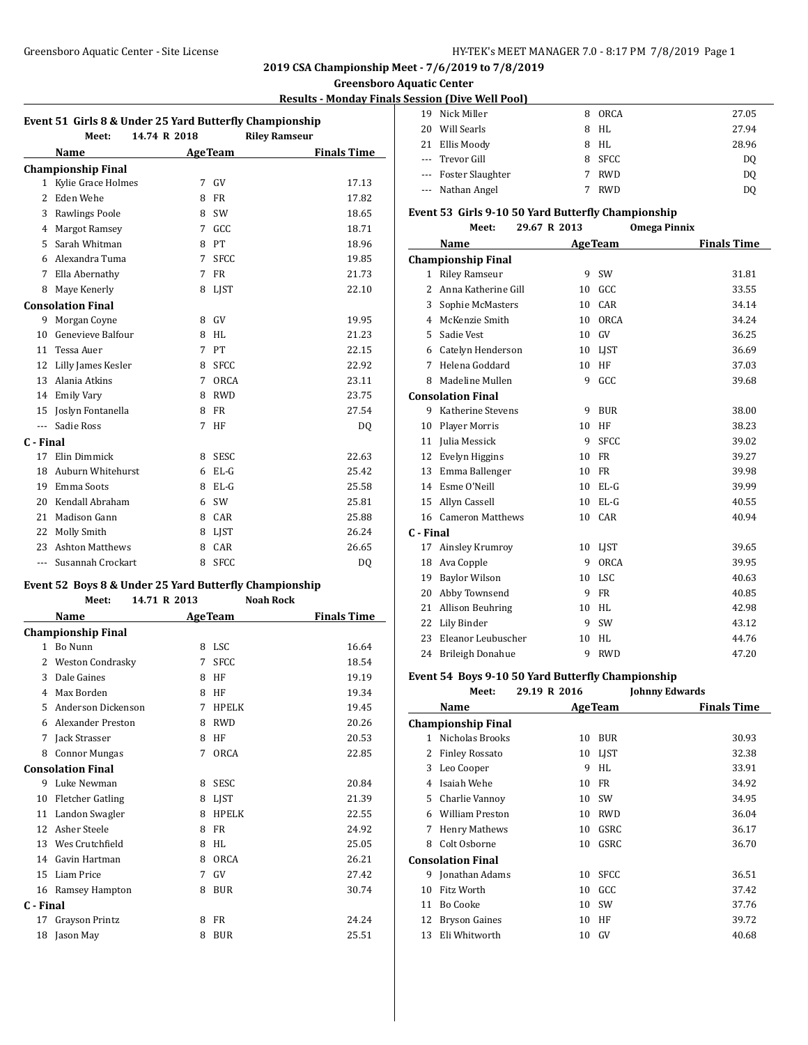#### **Greensboro Aquatic Center**

### **Results - Monday Finals Session (Dive Well Pool)**

|                          |                           |              | Event 51 Girls 8 & Under 25 Yard Butterfly Championship |                    |
|--------------------------|---------------------------|--------------|---------------------------------------------------------|--------------------|
|                          | Meet:                     | 14.74 R 2018 | <b>Riley Ramseur</b>                                    |                    |
|                          | Name                      |              | <b>AgeTeam</b>                                          | <b>Finals Time</b> |
|                          | <b>Championship Final</b> |              |                                                         |                    |
| $\mathbf{1}$             | Kylie Grace Holmes        | 7            | GV                                                      | 17.13              |
| $\overline{\mathcal{L}}$ | Eden Wehe                 | 8            | <b>FR</b>                                               | 17.82              |
| 3                        | <b>Rawlings Poole</b>     | 8            | SW                                                      | 18.65              |
| 4                        | <b>Margot Ramsey</b>      | 7            | GCC                                                     | 18.71              |
| 5                        | Sarah Whitman             | 8            | PT                                                      | 18.96              |
| 6                        | Alexandra Tuma            | 7            | <b>SFCC</b>                                             | 19.85              |
| 7                        | Ella Abernathy            | 7            | <b>FR</b>                                               | 21.73              |
| 8                        | Maye Kenerly              | 8            | <b>LIST</b>                                             | 22.10              |
|                          | <b>Consolation Final</b>  |              |                                                         |                    |
| 9                        | Morgan Coyne              | 8            | GV                                                      | 19.95              |
| 10                       | Genevieve Balfour         | 8            | <b>HL</b>                                               | 21.23              |
| 11                       | Tessa Auer                | 7            | PT                                                      | 22.15              |
| 12                       | Lilly James Kesler        | 8            | <b>SFCC</b>                                             | 22.92              |
| 13                       | Alania Atkins             | 7            | <b>ORCA</b>                                             | 23.11              |
| 14                       | <b>Emily Vary</b>         | 8            | <b>RWD</b>                                              | 23.75              |
| 15                       | Joslyn Fontanella         | 8            | <b>FR</b>                                               | 27.54              |
| $\overline{a}$           | Sadie Ross                | 7            | HF                                                      | DQ                 |
| C - Final                |                           |              |                                                         |                    |
| 17                       | Elin Dimmick              | 8            | <b>SESC</b>                                             | 22.63              |
| 18                       | Auburn Whitehurst         | 6            | $EL-G$                                                  | 25.42              |
| 19                       | Emma Soots                | 8            | EL-G                                                    | 25.58              |
| 20                       | Kendall Abraham           | 6            | SW                                                      | 25.81              |
| 21                       | Madison Gann              | 8            | CAR                                                     | 25.88              |
| 22                       | Molly Smith               | 8            | <b>LIST</b>                                             | 26.24              |
| 23                       | <b>Ashton Matthews</b>    | 8            | CAR                                                     | 26.65              |
| ---                      | Susannah Crockart         | 8            | <b>SFCC</b>                                             | DQ                 |

#### **Event 52 Boys 8 & Under 25 Yard Butterfly Championship**

**Meet: 14.71 R 2013 Noah Rock**

|           | Name                      |   | <b>AgeTeam</b> | <b>Finals Time</b> |
|-----------|---------------------------|---|----------------|--------------------|
|           | <b>Championship Final</b> |   |                |                    |
| 1         | Bo Nunn                   | 8 | LSC            | 16.64              |
| 2         | <b>Weston Condrasky</b>   | 7 | <b>SFCC</b>    | 18.54              |
| 3         | Dale Gaines               | 8 | HF             | 19.19              |
| 4         | Max Borden                | 8 | HF             | 19.34              |
| 5         | Anderson Dickenson        | 7 | <b>HPELK</b>   | 19.45              |
| 6         | Alexander Preston         | 8 | <b>RWD</b>     | 20.26              |
| 7         | Jack Strasser             | 8 | HF             | 20.53              |
| 8         | <b>Connor Mungas</b>      | 7 | ORCA           | 22.85              |
|           | <b>Consolation Final</b>  |   |                |                    |
| 9         | Luke Newman               | 8 | <b>SESC</b>    | 20.84              |
| 10        | <b>Fletcher Gatling</b>   | 8 | LJST           | 21.39              |
| 11        | Landon Swagler            | 8 | <b>HPELK</b>   | 22.55              |
| 12        | Asher Steele              | 8 | <b>FR</b>      | 24.92              |
| 13        | Wes Crutchfield           | 8 | HI.            | 25.05              |
| 14        | Gavin Hartman             | 8 | ORCA           | 26.21              |
| 15        | Liam Price                | 7 | GV             | 27.42              |
| 16        | Ramsey Hampton            | 8 | <b>BUR</b>     | 30.74              |
| C - Final |                           |   |                |                    |
| 17        | Grayson Printz            | 8 | <b>FR</b>      | 24.24              |
| 18        | Jason May                 | 8 | <b>BUR</b>     | 25.51              |
|           |                           |   |                |                    |

| 19. | Nick Miller          | 8 | ORCA       | 27.05 |
|-----|----------------------|---|------------|-------|
| 20  | Will Searls          | 8 | HL         | 27.94 |
|     | 21 Ellis Moody       | 8 | HL         | 28.96 |
|     | --- Trevor Gill      |   | 8 SFCC     | DQ    |
|     | --- Foster Slaughter |   | <b>RWD</b> | DQ    |
|     | --- Nathan Angel     |   | <b>RWD</b> | D0    |

#### **Event 53 Girls 9-10 50 Yard Butterfly Championship**

**Meet: 29.67 R 2013 Omega Pinnix**

|              | Name                      |    | <b>AgeTeam</b> | <b>Finals Time</b> |
|--------------|---------------------------|----|----------------|--------------------|
|              | <b>Championship Final</b> |    |                |                    |
| $\mathbf{1}$ | <b>Riley Ramseur</b>      | 9  | SW             | 31.81              |
| 2            | Anna Katherine Gill       | 10 | GCC            | 33.55              |
| 3            | Sophie McMasters          | 10 | CAR            | 34.14              |
| 4            | McKenzie Smith            | 10 | <b>ORCA</b>    | 34.24              |
| 5            | Sadie Vest                | 10 | GV             | 36.25              |
| 6            | Catelyn Henderson         | 10 | <b>LIST</b>    | 36.69              |
| 7            | Helena Goddard            | 10 | HF             | 37.03              |
| 8            | Madeline Mullen           | 9  | GCC            | 39.68              |
|              | <b>Consolation Final</b>  |    |                |                    |
| 9            | Katherine Stevens         | 9  | <b>BUR</b>     | 38.00              |
| 10           | Player Morris             | 10 | HF             | 38.23              |
| 11           | Julia Messick             | 9  | <b>SFCC</b>    | 39.02              |
| 12           | Evelyn Higgins            | 10 | <b>FR</b>      | 39.27              |
| 13           | Emma Ballenger            | 10 | FR             | 39.98              |
| 14           | Esme O'Neill              | 10 | $EL-G$         | 39.99              |
| 15           | Allyn Cassell             | 10 | $EL-G$         | 40.55              |
| 16           | <b>Cameron Matthews</b>   | 10 | CAR            | 40.94              |
| C - Final    |                           |    |                |                    |
| 17           | Ainsley Krumroy           | 10 | LIST           | 39.65              |
| 18           | Ava Copple                | 9  | <b>ORCA</b>    | 39.95              |
| 19           | <b>Baylor Wilson</b>      | 10 | <b>LSC</b>     | 40.63              |
| 20           | Abby Townsend             | 9  | <b>FR</b>      | 40.85              |
| 21           | Allison Beuhring          | 10 | HL             | 42.98              |
| 22           | Lily Binder               | 9  | SW             | 43.12              |
| 23           | Eleanor Leubuscher        | 10 | HL             | 44.76              |
| 24           | <b>Brileigh Donahue</b>   | 9  | <b>RWD</b>     | 47.20              |

## **Event 54 Boys 9-10 50 Yard Butterfly Championship**

**Meet: 29.19 R 2016 Johnny Edwards**

|    | Name                      |    | <b>AgeTeam</b> | <b>Finals Time</b> |
|----|---------------------------|----|----------------|--------------------|
|    | <b>Championship Final</b> |    |                |                    |
| 1  | Nicholas Brooks           | 10 | <b>BUR</b>     | 30.93              |
| 2  | <b>Finley Rossato</b>     | 10 | LIST           | 32.38              |
| 3  | Leo Cooper                | 9  | HI.            | 33.91              |
| 4  | Isaiah Wehe               | 10 | FR             | 34.92              |
| 5  | Charlie Vannov            | 10 | <b>SW</b>      | 34.95              |
| 6  | <b>William Preston</b>    | 10 | <b>RWD</b>     | 36.04              |
| 7  | <b>Henry Mathews</b>      | 10 | GSRC           | 36.17              |
| 8  | Colt Osborne              | 10 | GSRC           | 36.70              |
|    | <b>Consolation Final</b>  |    |                |                    |
| 9  | Jonathan Adams            | 10 | <b>SFCC</b>    | 36.51              |
| 10 | Fitz Worth                | 10 | GCC            | 37.42              |
| 11 | Bo Cooke                  | 10 | SW             | 37.76              |
| 12 | Bryson Gaines             | 10 | ΗF             | 39.72              |
| 13 | Eli Whitworth             | 10 | GV             | 40.68              |
|    |                           |    |                |                    |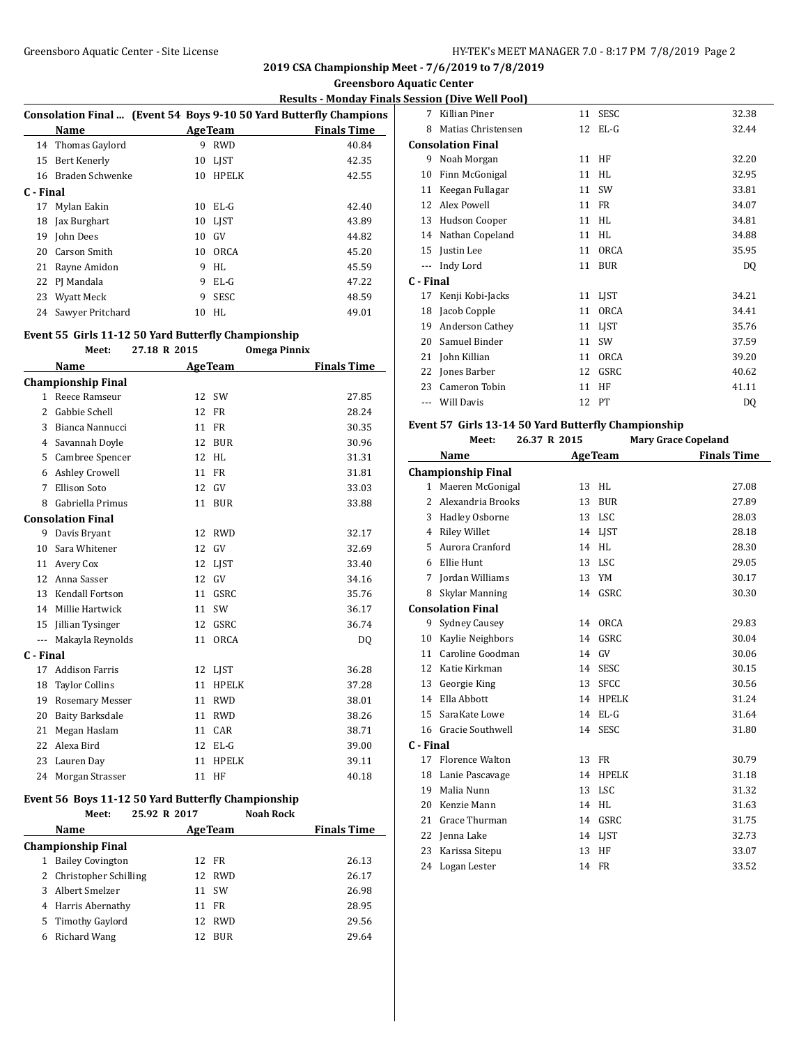**Greensboro Aquatic Center**

### **Results - Monday Finals Session (Dive Well Pool)**

|           |                   |    |                 | Consolation Final  (Event 54 Boys 9-10 50 Yard Butterfly Champions |  |
|-----------|-------------------|----|-----------------|--------------------------------------------------------------------|--|
|           | Name              |    | <b>Age Team</b> | <b>Finals Time</b>                                                 |  |
|           | 14 Thomas Gaylord | 9  | <b>RWD</b>      | 40.84                                                              |  |
| 15        | Bert Kenerly      |    | 10 LIST         | 42.35                                                              |  |
| 16        | Braden Schwenke   | 10 | HPELK           | 42.55                                                              |  |
| C - Final |                   |    |                 |                                                                    |  |
|           | 17 Mylan Eakin    |    | 10 EL-G         | 42.40                                                              |  |
| 18        | Jax Burghart      |    | 10 LIST         | 43.89                                                              |  |
|           | 19 John Dees      | 10 | GV              | 44.82                                                              |  |
|           | 20 Carson Smith   |    | 10 ORCA         | 45.20                                                              |  |
| 21        | Rayne Amidon      | 9  | HL              | 45.59                                                              |  |
|           | 22 PJ Mandala     | 9  | $EL-G$          | 47.22                                                              |  |
| 23        | Wyatt Meck        | 9  | <b>SESC</b>     | 48.59                                                              |  |
| 24        | Sawyer Pritchard  | 10 | HL.             | 49.01                                                              |  |
|           |                   |    |                 |                                                                    |  |

### **Event 55 Girls 11-12 50 Yard Butterfly Championship**

|                         | Meet:                     | 27.18 R 2015 | <b>Omega Pinnix</b> |                    |
|-------------------------|---------------------------|--------------|---------------------|--------------------|
|                         | Name                      |              | <b>AgeTeam</b>      | <b>Finals Time</b> |
|                         | <b>Championship Final</b> |              |                     |                    |
|                         | 1 Reece Ramseur           |              | 12 SW               | 27.85              |
| $\overline{\mathbf{c}}$ | Gabbie Schell             | 12           | <b>FR</b>           | 28.24              |
| 3                       | Bianca Nannucci           | 11           | <b>FR</b>           | 30.35              |
| 4                       | Savannah Doyle            | 12           | <b>BUR</b>          | 30.96              |
| 5                       | Cambree Spencer           | 12           | <b>HL</b>           | 31.31              |
| 6                       | <b>Ashley Crowell</b>     | 11           | <b>FR</b>           | 31.81              |
| 7                       | <b>Ellison Soto</b>       | 12           | GV                  | 33.03              |
| 8                       | Gabriella Primus          | 11           | <b>BUR</b>          | 33.88              |
|                         | <b>Consolation Final</b>  |              |                     |                    |
| 9                       | Davis Bryant              | 12           | <b>RWD</b>          | 32.17              |
| 10                      | Sara Whitener             | 12           | GV                  | 32.69              |
| 11                      | Avery Cox                 | 12           | LIST                | 33.40              |
| 12                      | Anna Sasser               | 12           | GV                  | 34.16              |
| 13                      | <b>Kendall Fortson</b>    | 11           | GSRC                | 35.76              |
| 14                      | Millie Hartwick           | 11           | SW                  | 36.17              |
| 15                      | Jillian Tysinger          | 12           | GSRC                | 36.74              |
| ---                     | Makayla Reynolds          | 11           | <b>ORCA</b>         | DO.                |
| C - Final               |                           |              |                     |                    |
| 17                      | <b>Addison Farris</b>     | 12           | LJST                | 36.28              |
| 18                      | <b>Taylor Collins</b>     | 11           | <b>HPELK</b>        | 37.28              |
| 19                      | <b>Rosemary Messer</b>    | 11           | <b>RWD</b>          | 38.01              |
| 20                      | <b>Baity Barksdale</b>    | 11           | <b>RWD</b>          | 38.26              |
| 21                      | Megan Haslam              | 11           | CAR                 | 38.71              |
| 22                      | Alexa Bird                | 12           | $EL-G$              | 39.00              |
| 23                      | Lauren Day                | 11           | <b>HPELK</b>        | 39.11              |
| 24                      | Morgan Strasser           | 11           | HF                  | 40.18              |

### **Event 56 Boys 11-12 50 Yard Butterfly Championship**

|    | Meet:                   | 25.92 R 2017 |     |                | <b>Noah Rock</b> |                    |
|----|-------------------------|--------------|-----|----------------|------------------|--------------------|
|    | Name                    |              |     | <b>AgeTeam</b> |                  | <b>Finals Time</b> |
|    | Championship Final      |              |     |                |                  |                    |
|    | <b>Bailey Covington</b> |              |     | 12 FR          |                  | 26.13              |
|    | 2 Christopher Schilling |              |     | 12 RWD         |                  | 26.17              |
| 3. | Albert Smelzer          |              | 11  | .SW            |                  | 26.98              |
| 4  | Harris Abernathy        |              | 11  | FR             |                  | 28.95              |
| 5. | Timothy Gaylord         |              | 12. | <b>RWD</b>     |                  | 29.56              |
| 6  | Richard Wang            |              | 12. | <b>BUR</b>     |                  | 29.64              |
|    |                         |              |     |                |                  |                    |

| 7         | Killian Piner      | 11 | <b>SESC</b> | 32.38 |
|-----------|--------------------|----|-------------|-------|
| 8         | Matias Christensen | 12 | $EL-G$      | 32.44 |
|           | Consolation Final  |    |             |       |
| 9         | Noah Morgan        | 11 | HF          | 32.20 |
| 10        | Finn McGonigal     | 11 | HL          | 32.95 |
| 11        | Keegan Fullagar    | 11 | SW          | 33.81 |
| 12        | Alex Powell        | 11 | FR          | 34.07 |
| 13        | Hudson Cooper      | 11 | HL          | 34.81 |
| 14        | Nathan Copeland    | 11 | HL          | 34.88 |
| 15        | Justin Lee         | 11 | <b>ORCA</b> | 35.95 |
| $---$     | Indy Lord          | 11 | <b>BUR</b>  | DQ    |
| C - Final |                    |    |             |       |
| 17        | Kenji Kobi-Jacks   | 11 | LIST        | 34.21 |
| 18        | Jacob Copple       | 11 | <b>ORCA</b> | 34.41 |
| 19        | Anderson Cathey    | 11 | <b>LIST</b> | 35.76 |
| 20        | Samuel Binder      | 11 | SW          | 37.59 |
| 21        | John Killian       | 11 | <b>ORCA</b> | 39.20 |
| 22        | Jones Barber       | 12 | GSRC        | 40.62 |
| 23        | Cameron Tobin      | 11 | HF          | 41.11 |
|           | Will Davis         | 12 | $_{\rm PT}$ | DQ    |
|           |                    |    |             |       |

#### **Event 57 Girls 13-14 50 Yard Butterfly Championship**

|             | Meet:                     | 26.37 R 2015 |                | <b>Mary Grace Copeland</b> |
|-------------|---------------------------|--------------|----------------|----------------------------|
|             | Name                      |              | <b>AgeTeam</b> | <b>Finals Time</b>         |
|             | <b>Championship Final</b> |              |                |                            |
|             | 1 Maeren McGonigal        | 13           | <b>HL</b>      | 27.08                      |
| 2           | Alexandria Brooks         | 13           | <b>BUR</b>     | 27.89                      |
| 3           | Hadley Osborne            | 13           | <b>LSC</b>     | 28.03                      |
| 4           | <b>Riley Willet</b>       | 14           | <b>LIST</b>    | 28.18                      |
| 5           | Aurora Cranford           | 14           | HL             | 28.30                      |
| 6           | Ellie Hunt                | 13           | <b>LSC</b>     | 29.05                      |
| 7           | Jordan Williams           | 13           | YM             | 30.17                      |
| 8           | Skylar Manning            |              | 14 GSRC        | 30.30                      |
|             | <b>Consolation Final</b>  |              |                |                            |
| 9           | <b>Sydney Causey</b>      | 14           | <b>ORCA</b>    | 29.83                      |
| 10          | Kaylie Neighbors          | 14           | GSRC           | 30.04                      |
| 11          | Caroline Goodman          | 14           | <b>GV</b>      | 30.06                      |
| 12          | Katie Kirkman             | 14           | <b>SESC</b>    | 30.15                      |
| 13          | Georgie King              | 13           | <b>SFCC</b>    | 30.56                      |
| 14          | Ella Abbott               | 14           | <b>HPELK</b>   | 31.24                      |
| 15          | SaraKate Lowe             | 14           | $EL-G$         | 31.64                      |
| 16          | <b>Gracie Southwell</b>   | 14           | <b>SESC</b>    | 31.80                      |
| $C$ - Final |                           |              |                |                            |
| 17          | <b>Florence Walton</b>    | 13           | <b>FR</b>      | 30.79                      |
| 18          | Lanie Pascavage           | 14           | <b>HPELK</b>   | 31.18                      |
| 19          | Malia Nunn                | 13           | <b>LSC</b>     | 31.32                      |
| 20          | Kenzie Mann               | 14           | HI.            | 31.63                      |
| 21          | Grace Thurman             | 14           | GSRC           | 31.75                      |
| 22          | Jenna Lake                | 14           | <b>LIST</b>    | 32.73                      |
| 23          | Karissa Sitepu            | 13           | HF             | 33.07                      |
| 24          | Logan Lester              | 14           | <b>FR</b>      | 33.52                      |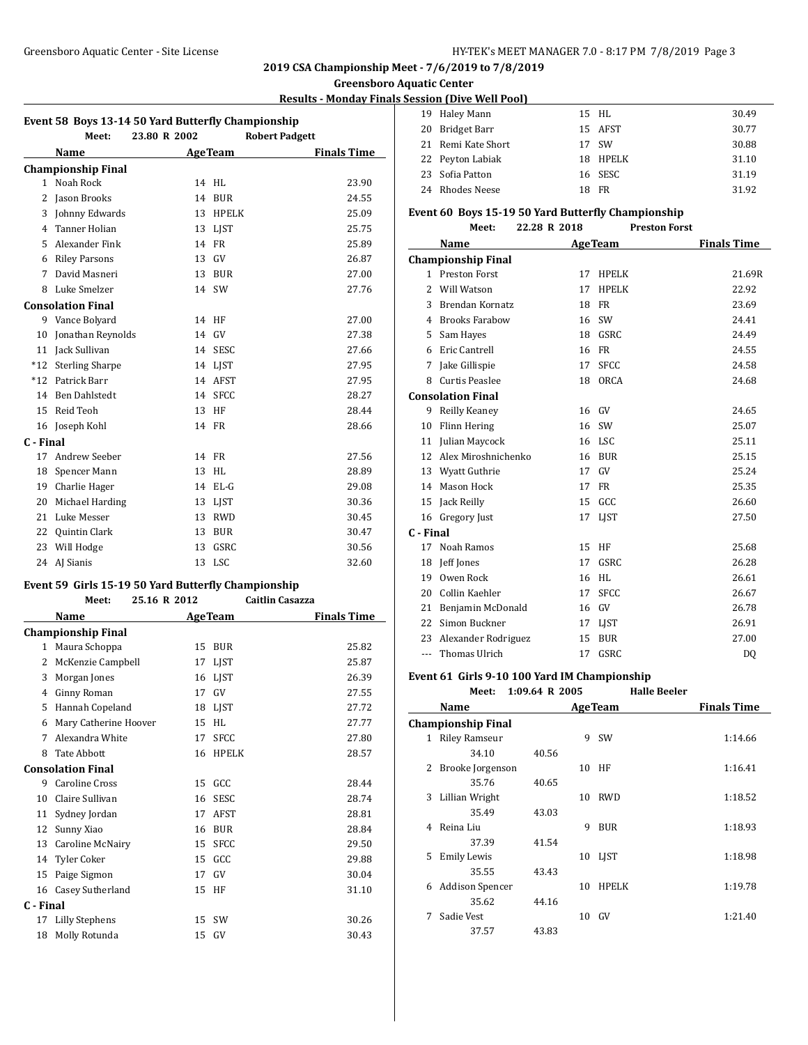#### **Greensboro Aquatic Center**

### **Results - Monday Finals Session (Dive Well Pool)**

| Event 58 Boys 13-14 50 Yard Butterfly Championship |                           |              |                       |                    |  |
|----------------------------------------------------|---------------------------|--------------|-----------------------|--------------------|--|
|                                                    | Meet:                     | 23.80 R 2002 | <b>Robert Padgett</b> |                    |  |
|                                                    | Name                      |              | <b>AgeTeam</b>        | <b>Finals Time</b> |  |
|                                                    | <b>Championship Final</b> |              |                       |                    |  |
| $\mathbf{1}$                                       | Noah Rock                 | 14           | <b>HL</b>             | 23.90              |  |
| 2                                                  | Jason Brooks              | 14           | <b>BUR</b>            | 24.55              |  |
| 3                                                  | Johnny Edwards            | 13           | <b>HPELK</b>          | 25.09              |  |
| 4                                                  | <b>Tanner Holian</b>      | 13           | <b>LIST</b>           | 25.75              |  |
| 5                                                  | Alexander Fink            | 14           | FR                    | 25.89              |  |
| 6                                                  | <b>Riley Parsons</b>      | 13           | GV                    | 26.87              |  |
| 7                                                  | David Masneri             | 13           | <b>BUR</b>            | 27.00              |  |
| 8                                                  | Luke Smelzer              | 14           | SW                    | 27.76              |  |
|                                                    | <b>Consolation Final</b>  |              |                       |                    |  |
| 9                                                  | Vance Bolyard             | 14           | HF                    | 27.00              |  |
| 10                                                 | Jonathan Reynolds         | 14           | GV                    | 27.38              |  |
| 11                                                 | Jack Sullivan             | 14           | <b>SESC</b>           | 27.66              |  |
| $*12$                                              | <b>Sterling Sharpe</b>    | 14           | <b>LIST</b>           | 27.95              |  |
| $*12$                                              | Patrick Barr              | 14           | AFST                  | 27.95              |  |
| 14                                                 | <b>Ben Dahlstedt</b>      | 14           | <b>SFCC</b>           | 28.27              |  |
| 15                                                 | Reid Teoh                 | 13           | HF                    | 28.44              |  |
| 16                                                 | Joseph Kohl               | 14           | <b>FR</b>             | 28.66              |  |
| C - Final                                          |                           |              |                       |                    |  |
| 17                                                 | Andrew Seeber             | 14           | <b>FR</b>             | 27.56              |  |
| 18                                                 | Spencer Mann              | 13           | HL                    | 28.89              |  |
| 19                                                 | Charlie Hager             | 14           | $EL-G$                | 29.08              |  |
| 20                                                 | Michael Harding           | 13           | <b>LIST</b>           | 30.36              |  |
| 21                                                 | Luke Messer               | 13           | <b>RWD</b>            | 30.45              |  |
| 22                                                 | Quintin Clark             | 13           | <b>BUR</b>            | 30.47              |  |
| 23                                                 | Will Hodge                | 13           | GSRC                  | 30.56              |  |
| 24                                                 | AJ Sianis                 | 13           | <b>LSC</b>            | 32.60              |  |

## **Event 59 Girls 15-19 50 Yard Butterfly Championship**

**Meet: 25.16 R 2012 Caitlin Casazza**

|           | Name                      |    | <b>AgeTeam</b> | <b>Finals Time</b> |
|-----------|---------------------------|----|----------------|--------------------|
|           | <b>Championship Final</b> |    |                |                    |
| 1         | Maura Schoppa             | 15 | <b>BUR</b>     | 25.82              |
| 2         | McKenzie Campbell         | 17 | LJST           | 25.87              |
| 3         | Morgan Jones              | 16 | <b>LIST</b>    | 26.39              |
| 4         | <b>Ginny Roman</b>        | 17 | GV             | 27.55              |
| 5         | Hannah Copeland           | 18 | LIST           | 27.72              |
| 6         | Mary Catherine Hoover     | 15 | <b>HL</b>      | 27.77              |
| 7         | Alexandra White           | 17 | <b>SFCC</b>    | 27.80              |
| 8         | <b>Tate Abbott</b>        | 16 | <b>HPELK</b>   | 28.57              |
|           | <b>Consolation Final</b>  |    |                |                    |
| 9         | <b>Caroline Cross</b>     | 15 | GCC            | 28.44              |
| 10        | Claire Sullivan           | 16 | <b>SESC</b>    | 28.74              |
| 11        | Sydney Jordan             | 17 | AFST           | 28.81              |
| 12        | Sunny Xiao                | 16 | <b>BUR</b>     | 28.84              |
| 13        | Caroline McNairy          | 15 | <b>SFCC</b>    | 29.50              |
| 14        | Tyler Coker               | 15 | GCC            | 29.88              |
| 15        | Paige Sigmon              | 17 | GV             | 30.04              |
| 16        | Casey Sutherland          | 15 | HF             | 31.10              |
| C - Final |                           |    |                |                    |
| 17        | <b>Lilly Stephens</b>     | 15 | <b>SW</b>      | 30.26              |
| 18        | Molly Rotunda             | 15 | GV             | 30.43              |

|  | 19 Haley Mann      |    | 15 HL    | 30.49 |
|--|--------------------|----|----------|-------|
|  | 20 Bridget Barr    |    | 15 AFST  | 30.77 |
|  | 21 Remi Kate Short |    | 17 SW    | 30.88 |
|  | 22 Peyton Labiak   |    | 18 HPELK | 31.10 |
|  | 23 Sofia Patton    |    | 16 SESC  | 31.19 |
|  | 24 Rhodes Neese    | 18 | FR       | 31.92 |

#### **Event 60 Boys 15-19 50 Yard Butterfly Championship**

#### **Meet: 22.28 R 2018 Preston Forst**

|           | Name                      |    | <b>AgeTeam</b> | <b>Finals Time</b> |
|-----------|---------------------------|----|----------------|--------------------|
|           | <b>Championship Final</b> |    |                |                    |
|           | 1 Preston Forst           | 17 | <b>HPELK</b>   | 21.69R             |
| 2         | Will Watson               | 17 | <b>HPELK</b>   | 22.92              |
| 3         | Brendan Kornatz           | 18 | <b>FR</b>      | 23.69              |
| 4         | <b>Brooks Farabow</b>     | 16 | SW             | 24.41              |
| 5         | Sam Hayes                 | 18 | GSRC           | 24.49              |
| 6         | Eric Cantrell             | 16 | <b>FR</b>      | 24.55              |
| 7         | Jake Gillispie            | 17 | <b>SFCC</b>    | 24.58              |
| 8         | <b>Curtis Peaslee</b>     | 18 | <b>ORCA</b>    | 24.68              |
|           | Consolation Final         |    |                |                    |
| 9         | Reilly Keaney             | 16 | GV             | 24.65              |
| 10        | Flinn Hering              | 16 | <b>SW</b>      | 25.07              |
| 11        | Julian Maycock            | 16 | <b>LSC</b>     | 25.11              |
| 12        | Alex Miroshnichenko       | 16 | <b>BUR</b>     | 25.15              |
| 13        | Wyatt Guthrie             | 17 | GV             | 25.24              |
| 14        | Mason Hock                | 17 | <b>FR</b>      | 25.35              |
| 15        | Jack Reilly               | 15 | GCC            | 26.60              |
| 16        | Gregory Just              | 17 | <b>LIST</b>    | 27.50              |
| C - Final |                           |    |                |                    |
| 17        | Noah Ramos                | 15 | HF             | 25.68              |
| 18        | Jeff Jones                | 17 | <b>GSRC</b>    | 26.28              |
| 19        | Owen Rock                 | 16 | HI.            | 26.61              |
| 20        | Collin Kaehler            | 17 | <b>SFCC</b>    | 26.67              |
| 21        | Benjamin McDonald         | 16 | GV             | 26.78              |
| 22        | Simon Buckner             | 17 | <b>LIST</b>    | 26.91              |
| 23        | Alexander Rodriguez       | 15 | <b>BUR</b>     | 27.00              |
| $- - -$   | Thomas Ulrich             | 17 | GSRC           | DQ                 |

#### **Event 61 Girls 9-10 100 Yard IM Championship Meet: 1:09.64 R 2005 Halle Beeler**

| MCC.                      |       |                                                                         |                |                           |                    |
|---------------------------|-------|-------------------------------------------------------------------------|----------------|---------------------------|--------------------|
| Name                      |       |                                                                         |                |                           | <b>Finals Time</b> |
|                           |       |                                                                         |                |                           |                    |
| <b>Riley Ramseur</b><br>1 |       | 9                                                                       | <b>SW</b>      |                           | 1:14.66            |
| 34.10                     | 40.56 |                                                                         |                |                           |                    |
| 2                         |       | 10                                                                      | HF             |                           | 1:16.41            |
| 35.76                     | 40.65 |                                                                         |                |                           |                    |
| Lillian Wright            |       | 10                                                                      | <b>RWD</b>     |                           | 1:18.52            |
| 35.49                     | 43.03 |                                                                         |                |                           |                    |
| Reina Liu                 |       | 9                                                                       | <b>BUR</b>     |                           | 1:18.93            |
| 37.39                     | 41.54 |                                                                         |                |                           |                    |
| Emily Lewis<br>5.         |       |                                                                         |                |                           | 1:18.98            |
| 35.55                     | 43.43 |                                                                         |                |                           |                    |
|                           |       | 10                                                                      | <b>HPELK</b>   |                           | 1:19.78            |
| 35.62                     | 44.16 |                                                                         |                |                           |                    |
| Sadie Vest                |       | 10                                                                      | GV             |                           | 1:21.40            |
| 37.57                     | 43.83 |                                                                         |                |                           |                    |
|                           |       | <b>Championship Final</b><br>Brooke Jorgenson<br><b>Addison Spencer</b> | 1.07.07 N 400J | <b>AgeTeam</b><br>10 LJST | Halit Detiti       |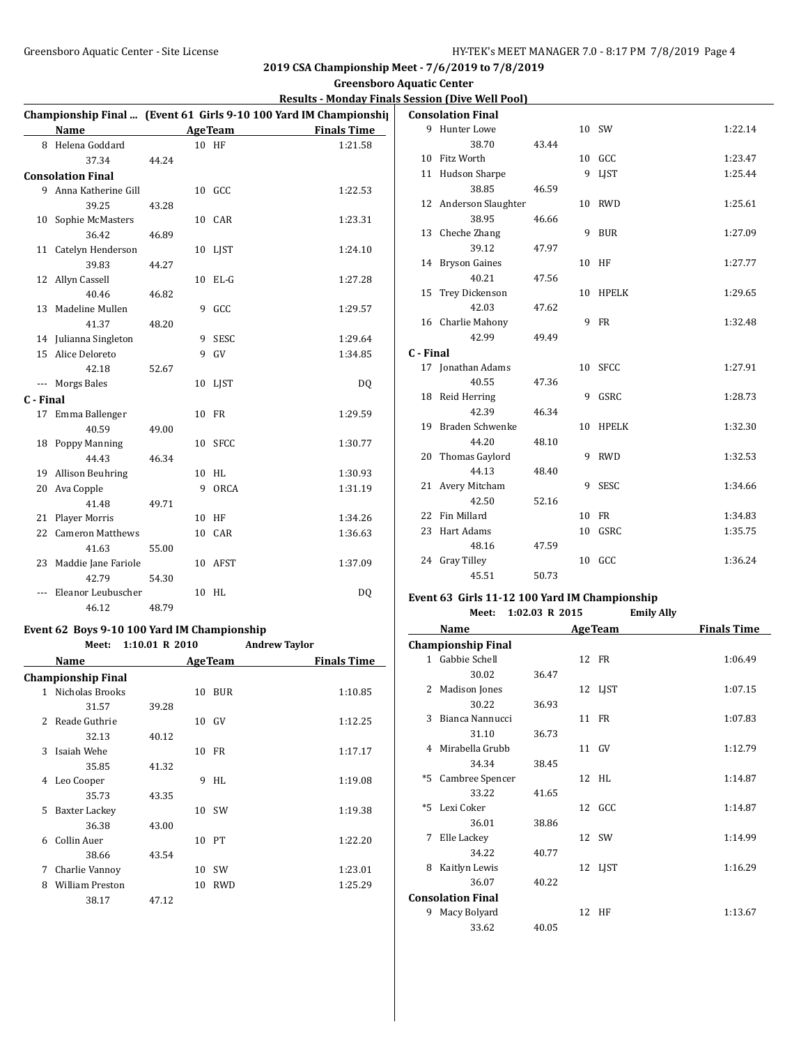**Greensboro Aquatic Center**

### **Results - Monday Finals Session (Dive Well Pool)**

|           |                          |       |    |                 | Championship Final  (Event 61 Girls 9-10 100 Yard IM Championship |
|-----------|--------------------------|-------|----|-----------------|-------------------------------------------------------------------|
|           | Name                     |       |    | <b>Age Team</b> | <b>Finals Time</b>                                                |
|           | 8 Helena Goddard         |       |    | 10 HF           | 1:21.58                                                           |
|           | 37.34                    | 44.24 |    |                 |                                                                   |
|           | <b>Consolation Final</b> |       |    |                 |                                                                   |
|           | 9 Anna Katherine Gill    |       |    | 10 GCC          | 1:22.53                                                           |
|           | 39.25                    | 43.28 |    |                 |                                                                   |
| 10        | Sophie McMasters         |       |    | 10 CAR          | 1:23.31                                                           |
|           | 36.42                    | 46.89 |    |                 |                                                                   |
|           | 11 Catelyn Henderson     |       |    | 10 LJST         | 1:24.10                                                           |
|           | 39.83                    | 44.27 |    |                 |                                                                   |
| 12        | Allyn Cassell            |       |    | 10 EL-G         | 1:27.28                                                           |
|           | 40.46                    | 46.82 |    |                 |                                                                   |
|           | 13 Madeline Mullen       |       |    | 9 GCC           | 1:29.57                                                           |
|           | 41.37                    | 48.20 |    |                 |                                                                   |
|           | 14 Julianna Singleton    |       | 9  | SESC            | 1:29.64                                                           |
| 15        | Alice Deloreto           |       | 9  | GV              | 1:34.85                                                           |
|           | 42.18                    | 52.67 |    |                 |                                                                   |
|           | --- Morgs Bales          |       |    | 10 LJST         | DQ                                                                |
| C - Final |                          |       |    |                 |                                                                   |
| 17        | Emma Ballenger           |       |    | 10 FR           | 1:29.59                                                           |
|           | 40.59                    | 49.00 |    |                 |                                                                   |
|           | 18 Poppy Manning         |       |    | 10 SFCC         | 1:30.77                                                           |
|           | 44.43                    | 46.34 |    |                 |                                                                   |
| 19        | <b>Allison Beuhring</b>  |       | 10 | HL.             | 1:30.93                                                           |
| 20        | Ava Copple               |       | 9  | ORCA            | 1:31.19                                                           |
|           | 41.48                    | 49.71 |    |                 |                                                                   |
| 21        | Player Morris            |       | 10 | HF              | 1:34.26                                                           |
| 22        | <b>Cameron Matthews</b>  |       |    | 10 CAR          | 1:36.63                                                           |
|           | 41.63                    | 55.00 |    |                 |                                                                   |
| 23        | Maddie Jane Fariole      |       |    | 10 AFST         | 1:37.09                                                           |
|           | 42.79                    | 54.30 |    |                 |                                                                   |
|           | Eleanor Leubuscher       |       | 10 | HL              | <b>DQ</b>                                                         |
|           | 46.12                    | 48.79 |    |                 |                                                                   |

#### **Event 62 Boys 9-10 100 Yard IM Championship Meet: 1:10.01 R 2010 Andrew Taylor**

|                          | Name                      |       |    | <b>AgeTeam</b> | <b>Finals Time</b> |
|--------------------------|---------------------------|-------|----|----------------|--------------------|
|                          | <b>Championship Final</b> |       |    |                |                    |
|                          | 1 Nicholas Brooks         |       | 10 | BUR            | 1:10.85            |
|                          | 31.57                     | 39.28 |    |                |                    |
| $\overline{\mathcal{L}}$ | Reade Guthrie             |       | 10 | GV             | 1:12.25            |
|                          | 32.13                     | 40.12 |    |                |                    |
| 3                        | Isaiah Wehe               |       | 10 | FR             | 1:17.17            |
|                          | 35.85                     | 41.32 |    |                |                    |
| 4                        | Leo Cooper                |       | 9  | HL             | 1:19.08            |
|                          | 35.73                     | 43.35 |    |                |                    |
| 5                        | Baxter Lackey             |       |    | 10 SW          | 1:19.38            |
|                          | 36.38                     | 43.00 |    |                |                    |
| 6                        | Collin Auer               |       | 10 | PТ             | 1:22.20            |
|                          | 38.66                     | 43.54 |    |                |                    |
| 7                        | Charlie Vannoy            |       | 10 | SW             | 1:23.01            |
| 8                        | <b>William Preston</b>    |       | 10 | <b>RWD</b>     | 1:25.29            |
|                          | 38.17                     | 47.12 |    |                |                    |
|                          |                           |       |    |                |                    |

|           | <b>Consolation Final</b> |       |    |             |         |
|-----------|--------------------------|-------|----|-------------|---------|
|           | 9 Hunter Lowe            |       |    | 10 SW       | 1:22.14 |
|           | 38.70                    | 43.44 |    |             |         |
| 10        | Fitz Worth               |       |    | 10 GCC      | 1:23.47 |
|           | 11 Hudson Sharpe         |       | 9  | <b>LIST</b> | 1:25.44 |
|           | 38.85                    | 46.59 |    |             |         |
|           | 12 Anderson Slaughter    |       | 10 | RWD         | 1:25.61 |
|           | 38.95                    | 46.66 |    |             |         |
|           | 13 Cheche Zhang          |       |    | 9 BUR       | 1:27.09 |
|           | 39.12                    | 47.97 |    |             |         |
|           | 14 Bryson Gaines         |       | 10 | HF          | 1:27.77 |
|           | 40.21                    | 47.56 |    |             |         |
| 15        | Trey Dickenson           |       | 10 | HPELK       | 1:29.65 |
|           | 42.03                    | 47.62 |    |             |         |
|           | 16 Charlie Mahony        |       |    | 9 FR        | 1:32.48 |
|           | 42.99                    | 49.49 |    |             |         |
| C - Final |                          |       |    |             |         |
|           | 17 Jonathan Adams        |       | 10 | SFCC        | 1:27.91 |
|           | 40.55                    | 47.36 |    |             |         |
|           | 18 Reid Herring          |       | 9  | GSRC        | 1:28.73 |
|           | 42.39                    | 46.34 |    |             |         |
|           | 19 Braden Schwenke       |       | 10 | HPELK       | 1:32.30 |
|           | 44.20                    | 48.10 |    |             |         |
| 20        | Thomas Gaylord           |       | 9  | <b>RWD</b>  | 1:32.53 |
|           | 44.13                    | 48.40 |    |             |         |
| 21        | Avery Mitcham            |       | 9  | SESC        | 1:34.66 |
|           | 42.50                    | 52.16 |    |             |         |
| 22        | Fin Millard              |       | 10 | FR          | 1:34.83 |
| 23        | Hart Adams               |       | 10 | GSRC        | 1:35.75 |
|           | 48.16                    | 47.59 |    |             |         |
|           | 24 Gray Tilley           |       |    | 10 GCC      | 1:36.24 |
|           | 45.51                    | 50.73 |    |             |         |

# **Event 63 Girls 11-12 100 Yard IM Championship**

| Meet: 1:02.03 R 2015 | <b>Emily Ally</b> |
|----------------------|-------------------|
|                      |                   |

|      | Name                      |       | <b>AgeTeam</b> | <b>Finals Time</b> |
|------|---------------------------|-------|----------------|--------------------|
|      | <b>Championship Final</b> |       |                |                    |
|      | 1 Gabbie Schell           |       | 12 FR          | 1:06.49            |
|      | 30.02                     | 36.47 |                |                    |
| 2    | Madison Jones             |       | 12 LJST        | 1:07.15            |
|      | 30.22                     | 36.93 |                |                    |
| 3    | Bianca Nannucci           |       | 11 FR          | 1:07.83            |
|      | 31.10                     | 36.73 |                |                    |
| 4    | Mirabella Grubb           |       | 11 GV          | 1:12.79            |
|      | 34.34                     | 38.45 |                |                    |
| $*5$ | Cambree Spencer           |       | 12 HL          | 1:14.87            |
|      | 33.22                     | 41.65 |                |                    |
|      | *5 Lexi Coker             |       | 12 GCC         | 1:14.87            |
|      | 36.01                     | 38.86 |                |                    |
| 7    | Elle Lackey               |       | 12 SW          | 1:14.99            |
|      | 34.22                     | 40.77 |                |                    |
| 8    | Kaitlyn Lewis             |       | 12 LJST        | 1:16.29            |
|      | 36.07                     | 40.22 |                |                    |
|      | <b>Consolation Final</b>  |       |                |                    |
| 9    | Macy Bolyard              |       | 12 HF          | 1:13.67            |
|      | 33.62                     | 40.05 |                |                    |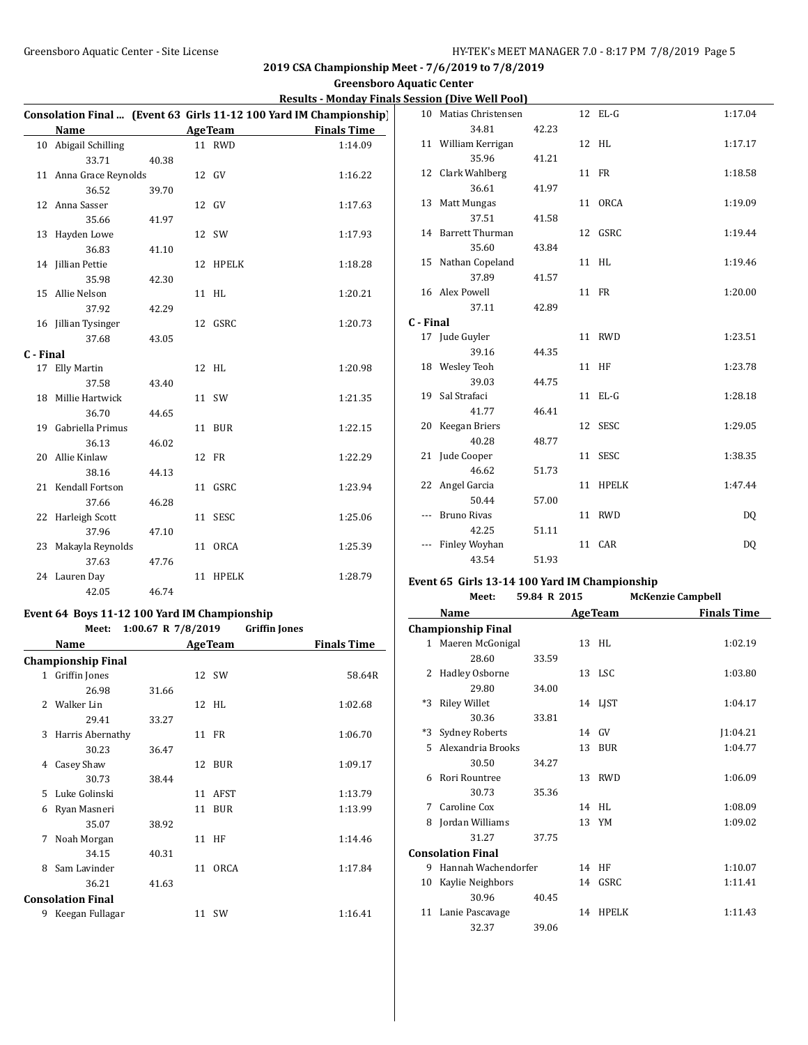## **Greensboro Aquatic Center**

|  | <b>Results - Monday Finals Session (Dive Well Pool)</b> |  |  |
|--|---------------------------------------------------------|--|--|
|--|---------------------------------------------------------|--|--|

|           |                        |       |    |                | Consolation Final  (Event 63 Girls 11-12 100 Yard IM Championship) |
|-----------|------------------------|-------|----|----------------|--------------------------------------------------------------------|
|           | Name                   |       |    | <b>AgeTeam</b> | <b>Finals Time</b>                                                 |
|           | 10 Abigail Schilling   |       |    | 11 RWD         | 1:14.09                                                            |
|           | 33.71                  | 40.38 |    |                |                                                                    |
|           | 11 Anna Grace Reynolds |       |    | 12 GV          | 1:16.22                                                            |
|           | 36.52                  | 39.70 |    |                |                                                                    |
|           | 12 Anna Sasser         |       |    | 12 GV          | 1:17.63                                                            |
|           | 35.66                  | 41.97 |    |                |                                                                    |
| 13        | Hayden Lowe            |       |    | 12 SW          | 1:17.93                                                            |
|           | 36.83                  | 41.10 |    |                |                                                                    |
|           | 14 Jillian Pettie      |       |    | 12 HPELK       | 1:18.28                                                            |
|           | 35.98                  | 42.30 |    |                |                                                                    |
|           | 15 Allie Nelson        |       |    | 11 HL          | 1:20.21                                                            |
|           | 37.92                  | 42.29 |    |                |                                                                    |
|           | 16 Jillian Tysinger    |       |    | 12 GSRC        | 1:20.73                                                            |
|           | 37.68                  | 43.05 |    |                |                                                                    |
| C - Final |                        |       |    |                |                                                                    |
|           | 17 Elly Martin         |       |    | 12 HL          | 1:20.98                                                            |
|           | 37.58                  | 43.40 |    |                |                                                                    |
| 18        | Millie Hartwick        |       |    | 11 SW          | 1:21.35                                                            |
|           | 36.70                  | 44.65 |    |                |                                                                    |
|           | 19 Gabriella Primus    |       |    | 11 BUR         | 1:22.15                                                            |
|           | 36.13                  | 46.02 |    |                |                                                                    |
|           | 20 Allie Kinlaw        |       |    | 12 FR          | 1:22.29                                                            |
|           | 38.16                  | 44.13 |    |                |                                                                    |
|           | 21 Kendall Fortson     |       | 11 | GSRC           | 1:23.94                                                            |
|           | 37.66                  | 46.28 |    |                |                                                                    |
|           | 22 Harleigh Scott      |       |    | 11 SESC        | 1:25.06                                                            |
|           | 37.96                  | 47.10 |    |                |                                                                    |
|           | 23 Makayla Reynolds    |       |    | 11 ORCA        | 1:25.39                                                            |
|           | 37.63                  | 47.76 |    |                |                                                                    |
|           | 24 Lauren Day          |       | 11 | <b>HPELK</b>   | 1:28.79                                                            |
|           | 42.05                  | 46.74 |    |                |                                                                    |

# **Event 64 Boys 11-12 100 Yard IM Championship**

|                          | Meet:                     | 1:00.67 R $7/8/2019$ |    |                | <b>Griffin Jones</b> |                    |
|--------------------------|---------------------------|----------------------|----|----------------|----------------------|--------------------|
|                          | Name                      |                      |    | <b>AgeTeam</b> |                      | <b>Finals Time</b> |
|                          | <b>Championship Final</b> |                      |    |                |                      |                    |
|                          | 1 Griffin Jones           |                      |    | 12 SW          |                      | 58.64R             |
|                          | 26.98                     | 31.66                |    |                |                      |                    |
| 2                        | Walker Lin                |                      |    | 12 HL          |                      | 1:02.68            |
|                          | 29.41                     | 33.27                |    |                |                      |                    |
| 3                        | Harris Abernathy          |                      |    | 11 FR          |                      | 1:06.70            |
|                          | 30.23                     | 36.47                |    |                |                      |                    |
| 4                        | Casey Shaw                |                      |    | 12 BUR         |                      | 1:09.17            |
|                          | 30.73                     | 38.44                |    |                |                      |                    |
| 5                        | Luke Golinski             |                      | 11 | AFST           |                      | 1:13.79            |
| 6                        | Ryan Masneri              |                      | 11 | BUR            |                      | 1:13.99            |
|                          | 35.07                     | 38.92                |    |                |                      |                    |
| 7                        | Noah Morgan               |                      |    | 11 HF          |                      | 1:14.46            |
|                          | 34.15                     | 40.31                |    |                |                      |                    |
| 8                        | Sam Lavinder              |                      | 11 | <b>ORCA</b>    |                      | 1:17.84            |
|                          | 36.21                     | 41.63                |    |                |                      |                    |
| <b>Consolation Final</b> |                           |                      |    |                |                      |                    |
| 9                        | Keegan Fullagar           |                      |    | 11 SW          |                      | 1:16.41            |

| 10        | Matias Christensen  |       | 12 EL-G  | 1:17.04 |
|-----------|---------------------|-------|----------|---------|
|           | 34.81               | 42.23 |          |         |
|           | 11 William Kerrigan |       | 12 HL    | 1:17.17 |
|           | 35.96               | 41.21 |          |         |
|           | 12 Clark Wahlberg   |       | 11 FR    | 1:18.58 |
|           | 36.61               | 41.97 |          |         |
|           | 13 Matt Mungas      |       | 11 ORCA  | 1:19.09 |
|           | 37.51               | 41.58 |          |         |
|           | 14 Barrett Thurman  |       | 12 GSRC  | 1:19.44 |
|           | 35.60               | 43.84 |          |         |
|           | 15 Nathan Copeland  |       | 11 HL    | 1:19.46 |
|           | 37.89               | 41.57 |          |         |
|           | 16 Alex Powell      |       | 11 FR    | 1:20.00 |
|           | 37.11               | 42.89 |          |         |
| C - Final |                     |       |          |         |
|           | 17 Jude Guyler      |       | 11 RWD   | 1:23.51 |
|           | 39.16               | 44.35 |          |         |
|           | 18 Wesley Teoh      |       | 11 HF    | 1:23.78 |
|           | 39.03               | 44.75 |          |         |
|           | 19 Sal Strafaci     |       | 11 EL-G  | 1:28.18 |
|           | 41.77               | 46.41 |          |         |
|           | 20 Keegan Briers    |       | 12 SESC  | 1:29.05 |
|           | 40.28               | 48.77 |          |         |
|           | 21 Jude Cooper      |       | 11 SESC  | 1:38.35 |
|           | 46.62               | 51.73 |          |         |
|           | 22 Angel Garcia     |       | 11 HPELK | 1:47.44 |
|           | 50.44               | 57.00 |          |         |
| ---       | <b>Bruno Rivas</b>  |       | 11 RWD   | DQ      |
|           | 42.25               | 51.11 |          |         |
| ---       | Finley Woyhan       |       | 11 CAR   | DQ      |
|           | 43.54               | 51.93 |          |         |

### **Event 65 Girls 13-14 100 Yard IM Championship**

|                | Meet:                     | 59.84 R 2015 |    |                | <b>McKenzie Campbell</b> |
|----------------|---------------------------|--------------|----|----------------|--------------------------|
|                | Name                      |              |    | <b>AgeTeam</b> | <b>Finals Time</b>       |
|                | <b>Championship Final</b> |              |    |                |                          |
|                | 1 Maeren McGonigal        |              |    | 13 HL          | 1:02.19                  |
|                | 28.60                     | 33.59        |    |                |                          |
| $\overline{2}$ | Hadley Osborne            |              |    | 13 LSC         | 1:03.80                  |
|                | 29.80                     | 34.00        |    |                |                          |
| *3             | <b>Riley Willet</b>       |              |    | 14 LJST        | 1:04.17                  |
|                | 30.36                     | 33.81        |    |                |                          |
| *3             | <b>Sydney Roberts</b>     |              |    | $14$ GV        | 1:04.21                  |
| 5              | Alexandria Brooks         |              | 13 | BUR            | 1:04.77                  |
|                | 30.50                     | 34.27        |    |                |                          |
| 6              | Rori Rountree             |              |    | 13 RWD         | 1:06.09                  |
|                | 30.73                     | 35.36        |    |                |                          |
| 7              | Caroline Cox              |              |    | 14 HL          | 1:08.09                  |
| 8              | Jordan Williams           |              |    | 13 YM          | 1:09.02                  |
|                | 31.27                     | 37.75        |    |                |                          |
|                | <b>Consolation Final</b>  |              |    |                |                          |
| 9              | Hannah Wachendorfer       |              |    | 14 HF          | 1:10.07                  |
| 10             | Kaylie Neighbors          |              |    | 14 GSRC        | 1:11.41                  |
|                | 30.96                     | 40.45        |    |                |                          |
|                | 11 Lanie Pascavage        |              |    | 14 HPELK       | 1:11.43                  |
|                | 32.37                     | 39.06        |    |                |                          |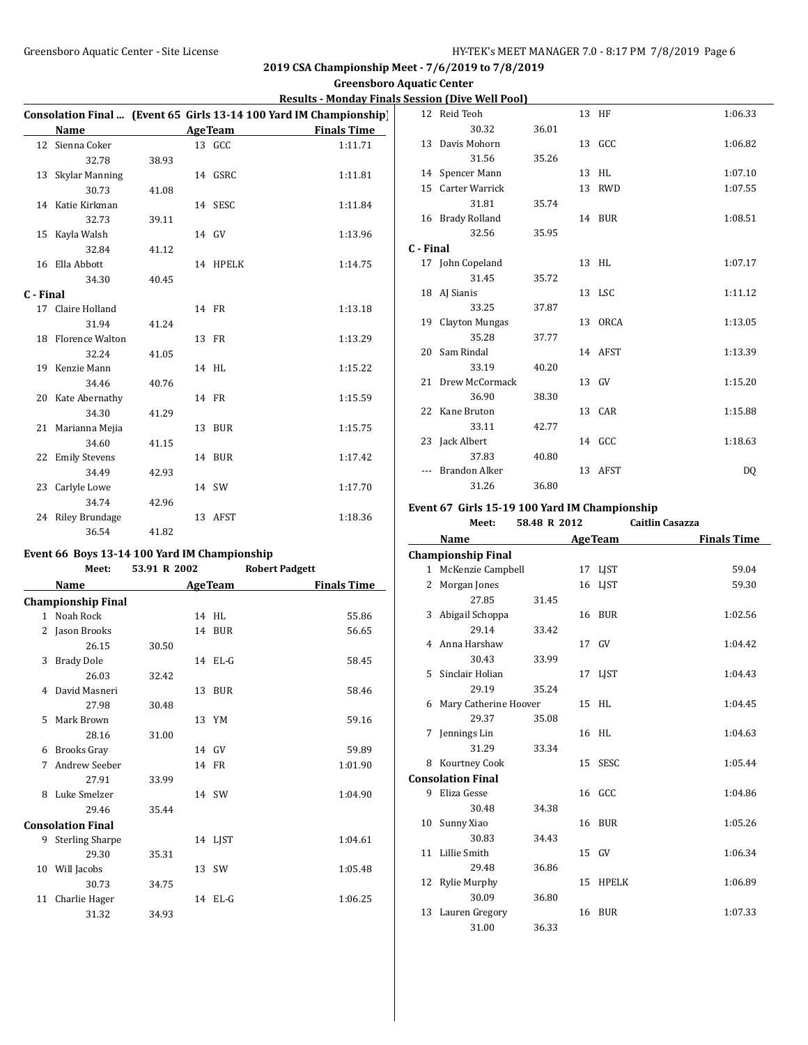### **Greensboro Aquatic Center**

### **Results - Monday Finals Session (Dive Well Pool)**

ŀ,

|           |                      |       |                | Consolation Final  (Event 65 Girls 13-14 100 Yard IM Championship) |
|-----------|----------------------|-------|----------------|--------------------------------------------------------------------|
|           | Name                 |       | <b>AgeTeam</b> | <b>Finals Time</b>                                                 |
| 12        | Sienna Coker         |       | 13 GCC         | 1:11.71                                                            |
|           | 32.78                | 38.93 |                |                                                                    |
| 13        | Skylar Manning       |       | 14 GSRC        | 1:11.81                                                            |
|           | 30.73                | 41.08 |                |                                                                    |
|           | 14 Katie Kirkman     |       | 14 SESC        | 1:11.84                                                            |
|           | 32.73                | 39.11 |                |                                                                    |
|           | 15 Kayla Walsh       |       | 14 GV          | 1:13.96                                                            |
|           | 32.84                | 41.12 |                |                                                                    |
| 16        | Ella Abbott          |       | 14 HPELK       | 1:14.75                                                            |
|           | 34.30                | 40.45 |                |                                                                    |
| C - Final |                      |       |                |                                                                    |
|           | 17 Claire Holland    |       | 14 FR          | 1:13.18                                                            |
|           | 31.94                | 41.24 |                |                                                                    |
|           | 18 Florence Walton   |       | 13 FR          | 1:13.29                                                            |
|           | 32.24                | 41.05 |                |                                                                    |
|           | 19 Kenzie Mann       |       | 14 HL          | 1:15.22                                                            |
|           | 34.46                | 40.76 |                |                                                                    |
|           | 20 Kate Abernathy    |       | 14 FR          | 1:15.59                                                            |
|           | 34.30                | 41.29 |                |                                                                    |
|           | 21 Marianna Mejia    |       | 13 BUR         | 1:15.75                                                            |
|           | 34.60                | 41.15 |                |                                                                    |
| 22        | <b>Emily Stevens</b> |       | 14 BUR         | 1:17.42                                                            |
|           | 34.49                | 42.93 |                |                                                                    |
|           | 23 Carlyle Lowe      |       | 14 SW          | 1:17.70                                                            |
|           | 34.74                | 42.96 |                |                                                                    |
|           | 24 Riley Brundage    |       | 13 AFST        | 1:18.36                                                            |
|           | 36.54                | 41.82 |                |                                                                    |

### **Event 66 Boys 13-14 100 Yard IM Championship**

|    | Meet:                     | 53.91 R 2002 |                | <b>Robert Padgett</b> |
|----|---------------------------|--------------|----------------|-----------------------|
|    | Name                      |              | <b>AgeTeam</b> | <b>Finals Time</b>    |
|    | <b>Championship Final</b> |              |                |                       |
|    | 1 Noah Rock               |              | 14 HL          | 55.86                 |
| 2  | Jason Brooks              |              | 14 BUR         | 56.65                 |
|    | 26.15                     | 30.50        |                |                       |
| 3  | <b>Brady Dole</b>         |              | 14 EL-G        | 58.45                 |
|    | 26.03                     | 32.42        |                |                       |
| 4  | David Masneri             |              | 13 BUR         | 58.46                 |
|    | 27.98                     | 30.48        |                |                       |
| 5  | Mark Brown                |              | 13 YM          | 59.16                 |
|    | 28.16                     | 31.00        |                |                       |
| 6  | <b>Brooks Gray</b>        |              | 14 GV          | 59.89                 |
| 7  | Andrew Seeber             |              | 14 FR          | 1:01.90               |
|    | 27.91                     | 33.99        |                |                       |
| 8  | Luke Smelzer              |              | 14 SW          | 1:04.90               |
|    | 29.46                     | 35.44        |                |                       |
|    | <b>Consolation Final</b>  |              |                |                       |
|    | 9 Sterling Sharpe         |              | 14 LIST        | 1:04.61               |
|    | 29.30                     | 35.31        |                |                       |
|    | 10 Will Jacobs            |              | 13 SW          | 1:05.48               |
|    | 30.73                     | 34.75        |                |                       |
| 11 | Charlie Hager             |              | $14$ EL-G      | 1:06.25               |
|    | 31.32                     | 34.93        |                |                       |
|    |                           |              |                |                       |

|           | 12 Reid Teoh      |       |    | 13 HF   | 1:06.33 |
|-----------|-------------------|-------|----|---------|---------|
|           | 30.32             | 36.01 |    |         |         |
|           | 13 Davis Mohorn   |       |    | 13 GCC  | 1:06.82 |
|           | 31.56             | 35.26 |    |         |         |
|           | 14 Spencer Mann   |       |    | 13 HL   | 1:07.10 |
|           | 15 Carter Warrick |       | 13 | RWD     | 1:07.55 |
|           | 31.81             | 35.74 |    |         |         |
|           | 16 Brady Rolland  |       |    | 14 BUR  | 1:08.51 |
|           | 32.56             | 35.95 |    |         |         |
| C - Final |                   |       |    |         |         |
|           | 17 John Copeland  |       |    | 13 HL   | 1:07.17 |
|           | 31.45             | 35.72 |    |         |         |
|           | 18 AJ Sianis      |       |    | 13 LSC  | 1:11.12 |
|           | 33.25             | 37.87 |    |         |         |
|           | 19 Clayton Mungas |       |    | 13 ORCA | 1:13.05 |
|           | 35.28             | 37.77 |    |         |         |
|           | 20 Sam Rindal     |       |    | 14 AFST | 1:13.39 |
|           | 33.19             | 40.20 |    |         |         |
|           | 21 Drew McCormack |       |    | 13 GV   | 1:15.20 |
|           | 36.90             | 38.30 |    |         |         |
|           | 22 Kane Bruton    |       |    | 13 CAR  | 1:15.88 |
|           | 33.11             | 42.77 |    |         |         |
|           | 23 Jack Albert    |       |    | 14 GCC  | 1:18.63 |
|           | 37.83             | 40.80 |    |         |         |
|           | Brandon Alker     |       |    | 13 AFST | DQ      |
|           | 31.26             | 36.80 |    |         |         |

### **Event 67 Girls 15-19 100 Yard IM Championship**

**Meet: 58.48 R 2012 Caitlin Casazza**

|    | Name                      |       |    | <b>AgeTeam</b> | <b>Finals Time</b> |
|----|---------------------------|-------|----|----------------|--------------------|
|    | <b>Championship Final</b> |       |    |                |                    |
|    | 1 McKenzie Campbell       |       |    | 17 LJST        | 59.04              |
| 2  | Morgan Jones              |       | 16 | LJST           | 59.30              |
|    | 27.85                     | 31.45 |    |                |                    |
| 3  | Abigail Schoppa           |       |    | 16 BUR         | 1:02.56            |
|    | 29.14                     | 33.42 |    |                |                    |
| 4  | Anna Harshaw              |       |    | 17 GV          | 1:04.42            |
|    | 30.43                     | 33.99 |    |                |                    |
| 5  | Sinclair Holian           |       |    | 17 LJST        | 1:04.43            |
|    | 29.19                     | 35.24 |    |                |                    |
| 6  | Mary Catherine Hoover     |       |    | 15 HL          | 1:04.45            |
|    | 29.37                     | 35.08 |    |                |                    |
| 7  | Jennings Lin              |       |    | 16 HL          | 1:04.63            |
|    | 31.29                     | 33.34 |    |                |                    |
| 8  | Kourtney Cook             |       |    | 15 SESC        | 1:05.44            |
|    | <b>Consolation Final</b>  |       |    |                |                    |
|    | 9 Eliza Gesse             |       |    | 16 GCC         | 1:04.86            |
|    | 30.48                     | 34.38 |    |                |                    |
|    | 10 Sunny Xiao             |       |    | 16 BUR         | 1:05.26            |
|    | 30.83                     | 34.43 |    |                |                    |
| 11 | Lillie Smith              |       |    | 15 GV          | 1:06.34            |
|    | 29.48                     | 36.86 |    |                |                    |
| 12 | Rylie Murphy              |       | 15 | <b>HPELK</b>   | 1:06.89            |
|    | 30.09                     | 36.80 |    |                |                    |
|    | 13 Lauren Gregory         |       |    | 16 BUR         | 1:07.33            |
|    | 31.00                     | 36.33 |    |                |                    |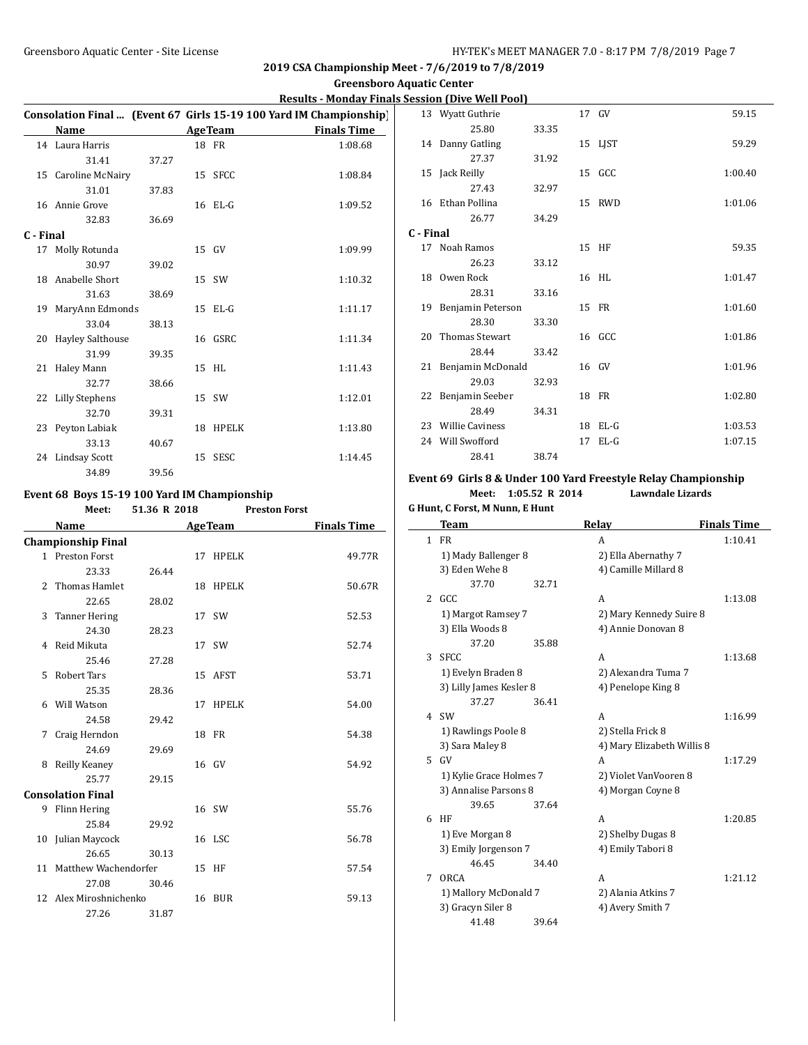#### **Greensboro Aquatic Center**

### **Results - Monday Finals Session (Dive Well Pool)**

|           |                         |       |    |                | Consolation Final  (Event 67 Girls 15-19 100 Yard IM Championship) |
|-----------|-------------------------|-------|----|----------------|--------------------------------------------------------------------|
|           | Name                    |       |    | <b>AgeTeam</b> | <b>Finals Time</b>                                                 |
|           | 14 Laura Harris         |       |    | 18 FR          | 1:08.68                                                            |
|           | 31.41                   | 37.27 |    |                |                                                                    |
|           | 15 Caroline McNairy     |       |    | 15 SFCC        | 1:08.84                                                            |
|           | 31.01                   | 37.83 |    |                |                                                                    |
|           | 16 Annie Grove          |       |    | 16 EL-G        | 1:09.52                                                            |
|           | 32.83                   | 36.69 |    |                |                                                                    |
| C - Final |                         |       |    |                |                                                                    |
| 17        | Molly Rotunda           |       |    | 15 GV          | 1:09.99                                                            |
|           | 30.97                   | 39.02 |    |                |                                                                    |
|           | 18 Anabelle Short       |       |    | 15 SW          | 1:10.32                                                            |
|           | 31.63                   | 38.69 |    |                |                                                                    |
| 19        | MaryAnn Edmonds         |       |    | $15$ EL-G      | 1:11.17                                                            |
|           | 33.04                   | 38.13 |    |                |                                                                    |
| 20        | <b>Hayley Salthouse</b> |       |    | 16 GSRC        | 1:11.34                                                            |
|           | 31.99                   | 39.35 |    |                |                                                                    |
| 21        | Haley Mann              |       |    | 15 HL          | 1:11.43                                                            |
|           | 32.77                   | 38.66 |    |                |                                                                    |
|           | 22 Lilly Stephens       |       |    | 15 SW          | 1:12.01                                                            |
|           | 32.70                   | 39.31 |    |                |                                                                    |
| 23        | Peyton Labiak           |       | 18 | HPELK          | 1:13.80                                                            |
|           | 33.13                   | 40.67 |    |                |                                                                    |
|           | 24 Lindsay Scott        |       |    | 15 SESC        | 1:14.45                                                            |
|           | 34.89                   | 39.56 |    |                |                                                                    |

#### **Event 68 Boys 15-19 100 Yard IM Championship**

|                | Meet:                     | 51.36 R 2018 | <b>Preston Forst</b> |                    |
|----------------|---------------------------|--------------|----------------------|--------------------|
|                | Name                      |              | <b>AgeTeam</b>       | <b>Finals Time</b> |
|                | <b>Championship Final</b> |              |                      |                    |
|                | 1 Preston Forst           |              | 17 HPELK             | 49.77R             |
|                | 23.33                     | 26.44        |                      |                    |
| $\overline{c}$ | <b>Thomas Hamlet</b>      |              | 18 HPELK             | 50.67R             |
|                | 22.65                     | 28.02        |                      |                    |
| 3              | <b>Tanner Hering</b>      |              | 17 SW                | 52.53              |
|                | 24.30                     | 28.23        |                      |                    |
| 4              | Reid Mikuta               |              | 17 SW                | 52.74              |
|                | 25.46                     | 27.28        |                      |                    |
| 5              | Robert Tars               |              | 15 AFST              | 53.71              |
|                | 25.35                     | 28.36        |                      |                    |
|                | 6 Will Watson             |              | 17 HPELK             | 54.00              |
|                | 24.58                     | 29.42        |                      |                    |
| 7              | Craig Herndon             |              | 18 FR                | 54.38              |
|                | 24.69                     | 29.69        |                      |                    |
| 8              | Reilly Keaney             |              | 16 GV                | 54.92              |
|                | 25.77                     | 29.15        |                      |                    |
|                | <b>Consolation Final</b>  |              |                      |                    |
| 9              | Flinn Hering              |              | 16 SW                | 55.76              |
|                | 25.84                     | 29.92        |                      |                    |
|                | 10 Julian Maycock         |              | 16 LSC               | 56.78              |
|                | 26.65                     | 30.13        |                      |                    |
| 11             | Matthew Wachendorfer      |              | 15 HF                | 57.54              |
|                | 27.08                     | 30.46        |                      |                    |
|                | 12 Alex Miroshnichenko    |              | 16 BUR               | 59.13              |
|                | 27.26                     | 31.87        |                      |                    |
|                |                           |              |                      |                    |

|           | 13 Wyatt Guthrie     |       |    | 17 GV    | 59.15   |
|-----------|----------------------|-------|----|----------|---------|
|           | 25.80                | 33.35 |    |          |         |
|           | 14 Danny Gatling     |       |    | 15 LJST  | 59.29   |
|           | 27.37                | 31.92 |    |          |         |
|           | 15 Jack Reilly       |       |    | 15 GCC   | 1:00.40 |
|           | 27.43                | 32.97 |    |          |         |
|           | 16 Ethan Pollina     |       |    | 15 RWD   | 1:01.06 |
|           | 26.77                | 34.29 |    |          |         |
| C - Final |                      |       |    |          |         |
|           | 17 Noah Ramos        |       |    | 15 HF    | 59.35   |
|           | 26.23                | 33.12 |    |          |         |
| 18        | Owen Rock            |       |    | 16 HL    | 1:01.47 |
|           | 28.31                | 33.16 |    |          |         |
| 19        | Benjamin Peterson    |       |    | 15 FR    | 1:01.60 |
|           | 28.30                | 33.30 |    |          |         |
|           | 20 Thomas Stewart    |       |    | 16 GCC   | 1:01.86 |
|           | 28.44                | 33.42 |    |          |         |
|           | 21 Benjamin McDonald |       |    | 16 GV    | 1:01.96 |
|           | 29.03                | 32.93 |    |          |         |
|           | 22 Benjamin Seeber   |       |    | 18 FR    | 1:02.80 |
|           | 28.49                | 34.31 |    |          |         |
|           | 23 Willie Caviness   |       | 18 | $EL-G$   | 1:03.53 |
| 24        | Will Swofford        |       | 17 | $E1 - G$ | 1:07.15 |
|           | 28.41                | 38.74 |    |          |         |

# **Event 69 Girls 8 & Under 100 Yard Freestyle Relay Championship Meet: 1:05.52 R 2014 Lawndale Lizards**

#### **G Hunt, C Forst, M Nunn, E Hunt**

|              | <b>Team</b>             |       | Relay                      | <b>Finals Time</b> |
|--------------|-------------------------|-------|----------------------------|--------------------|
| $\mathbf{1}$ | <b>FR</b>               |       | A                          | 1:10.41            |
|              | 1) Mady Ballenger 8     |       | 2) Ella Abernathy 7        |                    |
|              | 3) Eden Wehe 8          |       | 4) Camille Millard 8       |                    |
|              | 37.70                   | 32.71 |                            |                    |
| 2            | GCC.                    |       | A                          | 1:13.08            |
|              | 1) Margot Ramsey 7      |       | 2) Mary Kennedy Suire 8    |                    |
|              | 3) Ella Woods 8         |       | 4) Annie Donovan 8         |                    |
|              | 37.20                   | 35.88 |                            |                    |
| 3            | <b>SFCC</b>             |       | A                          | 1:13.68            |
|              | 1) Evelyn Braden 8      |       | 2) Alexandra Tuma 7        |                    |
|              | 3) Lilly James Kesler 8 |       | 4) Penelope King 8         |                    |
|              | 37.27                   | 36.41 |                            |                    |
| 4            | <b>SW</b>               |       | A                          | 1:16.99            |
|              | 1) Rawlings Poole 8     |       | 2) Stella Frick 8          |                    |
|              | 3) Sara Maley 8         |       | 4) Mary Elizabeth Willis 8 |                    |
| 5.           | GV                      |       | A                          | 1:17.29            |
|              | 1) Kylie Grace Holmes 7 |       | 2) Violet VanVooren 8      |                    |
|              | 3) Annalise Parsons 8   |       | 4) Morgan Coyne 8          |                    |
|              | 39.65                   | 37.64 |                            |                    |
| 6            | HF                      |       | A                          | 1:20.85            |
|              | 1) Eve Morgan 8         |       | 2) Shelby Dugas 8          |                    |
|              | 3) Emily Jorgenson 7    |       | 4) Emily Tabori 8          |                    |
|              | 46.45                   | 34.40 |                            |                    |
| 7            | <b>ORCA</b>             |       | A                          | 1:21.12            |
|              | 1) Mallory McDonald 7   |       | 2) Alania Atkins 7         |                    |
|              | 3) Gracyn Siler 8       |       | 4) Avery Smith 7           |                    |
|              | 41.48                   | 39.64 |                            |                    |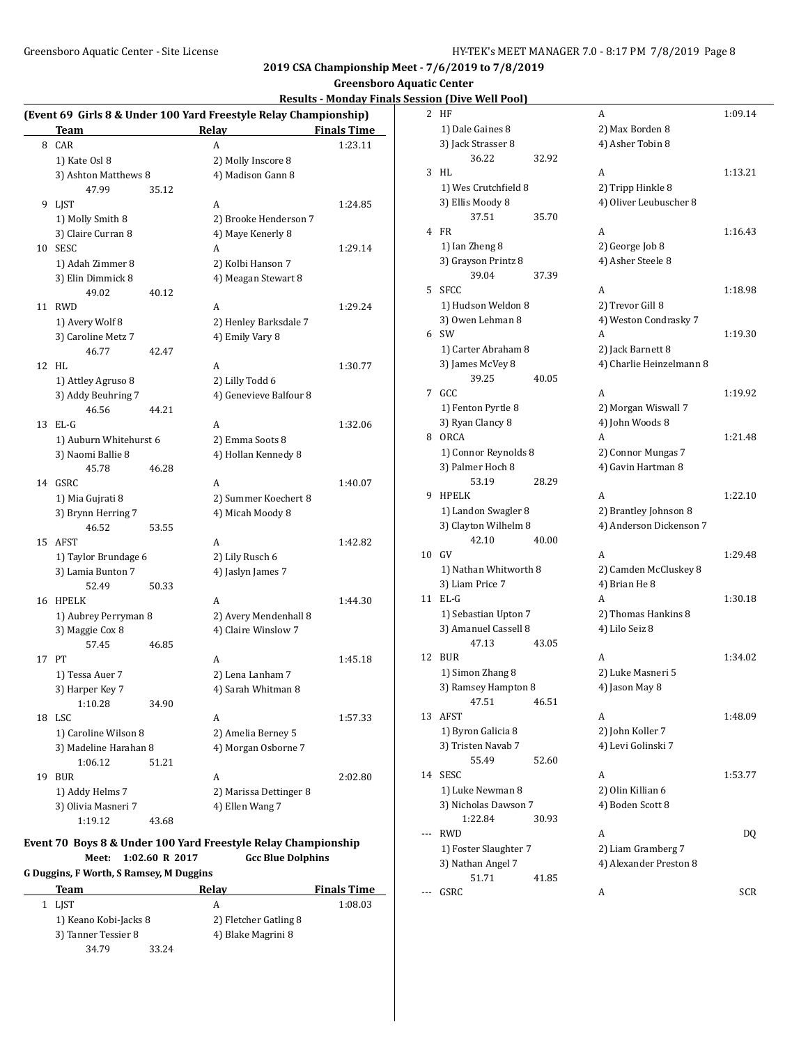# **Greensboro Aquatic Center**

# **Results - Monday Finals Session (Dive Well Pool)**

|    | Team                   |       | (Event 69 Girls 8 & Under 100 Yard Freestyle Relay Championship)<br>Relay | <b>Finals Time</b> |
|----|------------------------|-------|---------------------------------------------------------------------------|--------------------|
| 8  | CAR                    |       | A                                                                         | 1:23.11            |
|    | 1) Kate Osl 8          |       | 2) Molly Inscore 8                                                        |                    |
|    | 3) Ashton Matthews 8   |       | 4) Madison Gann 8                                                         |                    |
|    | 47.99                  | 35.12 |                                                                           |                    |
|    | 9 LJST                 |       | A                                                                         | 1:24.85            |
|    | 1) Molly Smith 8       |       | 2) Brooke Henderson 7                                                     |                    |
|    | 3) Claire Curran 8     |       | 4) Maye Kenerly 8                                                         |                    |
| 10 | <b>SESC</b>            |       | A                                                                         | 1:29.14            |
|    | 1) Adah Zimmer 8       |       | 2) Kolbi Hanson 7                                                         |                    |
|    | 3) Elin Dimmick 8      |       | 4) Meagan Stewart 8                                                       |                    |
|    | 49.02                  | 40.12 |                                                                           |                    |
| 11 | <b>RWD</b>             |       | A                                                                         | 1:29.24            |
|    | 1) Avery Wolf 8        |       | 2) Henley Barksdale 7                                                     |                    |
|    | 3) Caroline Metz 7     |       | 4) Emily Vary 8                                                           |                    |
|    | 46.77                  | 42.47 |                                                                           |                    |
| 12 | HL                     |       | A                                                                         | 1:30.77            |
|    | 1) Attley Agruso 8     |       | 2) Lilly Todd 6                                                           |                    |
|    | 3) Addy Beuhring 7     |       | 4) Genevieve Balfour 8                                                    |                    |
|    | 46.56                  | 44.21 |                                                                           |                    |
|    | 13 EL-G                |       | A                                                                         | 1:32.06            |
|    | 1) Auburn Whitehurst 6 |       | 2) Emma Soots 8                                                           |                    |
|    | 3) Naomi Ballie 8      |       | 4) Hollan Kennedy 8                                                       |                    |
|    | 45.78                  | 46.28 |                                                                           |                    |
| 14 | GSRC                   |       | A                                                                         | 1:40.07            |
|    | 1) Mia Gujrati 8       |       | 2) Summer Koechert 8                                                      |                    |
|    | 3) Brynn Herring 7     |       | 4) Micah Moody 8                                                          |                    |
|    | 46.52                  | 53.55 |                                                                           |                    |
|    | 15 AFST                |       | A                                                                         | 1:42.82            |
|    | 1) Taylor Brundage 6   |       | 2) Lily Rusch 6                                                           |                    |
|    | 3) Lamia Bunton 7      |       | 4) Jaslyn James 7                                                         |                    |
|    | 52.49                  | 50.33 |                                                                           |                    |
| 16 | HPELK                  |       | A                                                                         | 1:44.30            |
|    | 1) Aubrey Perryman 8   |       | 2) Avery Mendenhall 8                                                     |                    |
|    | 3) Maggie Cox 8        |       | 4) Claire Winslow 7                                                       |                    |
|    | 57.45                  | 46.85 |                                                                           |                    |
|    | 17 PT                  |       | A                                                                         | 1:45.18            |
|    | 1) Tessa Auer 7        |       | 2) Lena Lanham 7                                                          |                    |
|    | 3) Harper Key 7        |       | 4) Sarah Whitman 8                                                        |                    |
|    | 1:10.28                | 34.90 |                                                                           |                    |
|    | 18 LSC                 |       | A                                                                         | 1:57.33            |
|    | 1) Caroline Wilson 8   |       | 2) Amelia Berney 5                                                        |                    |
|    | 3) Madeline Harahan 8  |       | 4) Morgan Osborne 7                                                       |                    |
|    | 1:06.12                | 51.21 |                                                                           |                    |
| 19 | <b>BUR</b>             |       | A                                                                         | 2:02.80            |
|    | 1) Addy Helms 7        |       | 2) Marissa Dettinger 8                                                    |                    |
|    | 3) Olivia Masneri 7    |       | 4) Ellen Wang 7                                                           |                    |
|    | 1:19.12                | 43.68 |                                                                           |                    |

# **Event 70 Boys 8 & Under 100 Yard Freestyle Relay Championship**

**Meet: 1:02.60 R 2017 Gcc Blue Dolphins**

# **G Duggins, F Worth, S Ramsey, M Duggins**

| Team                  |       | Relav                 | <b>Finals Time</b> |
|-----------------------|-------|-----------------------|--------------------|
| 1 LIST                |       | А                     | 1:08.03            |
| 1) Keano Kobi-Jacks 8 |       | 2) Fletcher Gatling 8 |                    |
| 3) Tanner Tessier 8   |       | 4) Blake Magrini 8    |                    |
| 34.79                 | 33.24 |                       |                    |

|    | <u>110 110 11 10 01</u>                  |       |                          |         |
|----|------------------------------------------|-------|--------------------------|---------|
| 2  | HF                                       |       | A                        | 1:09.14 |
|    | 1) Dale Gaines 8                         |       | 2) Max Borden 8          |         |
|    | 3) Jack Strasser 8                       |       | 4) Asher Tobin 8         |         |
|    | 36.22                                    | 32.92 |                          |         |
| 3  | HL                                       |       | A                        | 1:13.21 |
|    | 1) Wes Crutchfield 8                     |       | 2) Tripp Hinkle 8        |         |
|    | 3) Ellis Moody 8                         |       | 4) Oliver Leubuscher 8   |         |
|    | 37.51                                    | 35.70 |                          |         |
|    | 4 FR                                     |       | А                        | 1:16.43 |
|    | 1) Ian Zheng 8                           |       | 2) George Job 8          |         |
|    | 3) Grayson Printz 8                      |       | 4) Asher Steele 8        |         |
|    | 39.04                                    | 37.39 |                          |         |
|    |                                          |       |                          |         |
| 5. | SFCC                                     |       | A                        | 1:18.98 |
|    | 1) Hudson Weldon 8                       |       | 2) Trevor Gill 8         |         |
|    | 3) Owen Lehman 8                         |       | 4) Weston Condrasky 7    |         |
|    | 6 SW                                     |       | А                        | 1:19.30 |
|    | 1) Carter Abraham 8                      |       | 2) Jack Barnett 8        |         |
|    | 3) James McVey 8                         |       | 4) Charlie Heinzelmann 8 |         |
|    | 39.25                                    | 40.05 |                          |         |
| 7  | GCC                                      |       | A                        | 1:19.92 |
|    | 1) Fenton Pyrtle 8                       |       | 2) Morgan Wiswall 7      |         |
|    | 3) Ryan Clancy 8                         |       | 4) John Woods 8          |         |
| 8  | ORCA                                     |       | А                        | 1:21.48 |
|    | 1) Connor Reynolds 8                     |       | 2) Connor Mungas 7       |         |
|    | 3) Palmer Hoch 8                         |       | 4) Gavin Hartman 8       |         |
|    | 53.19                                    | 28.29 |                          |         |
| 9  | <b>HPELK</b>                             |       | A                        | 1:22.10 |
|    |                                          |       |                          |         |
|    | 1) Landon Swagler 8                      |       | 2) Brantley Johnson 8    |         |
|    | 3) Clayton Wilhelm 8                     |       | 4) Anderson Dickenson 7  |         |
|    | 42.10                                    | 40.00 |                          |         |
| 10 | GV                                       |       | А                        | 1:29.48 |
|    | 1) Nathan Whitworth 8                    |       | 2) Camden McCluskey 8    |         |
|    | 3) Liam Price 7                          |       | 4) Brian He 8            |         |
| 11 | $EL-G$                                   |       | A                        | 1:30.18 |
|    | 1) Sebastian Upton 7                     |       | 2) Thomas Hankins 8      |         |
|    | 3) Amanuel Cassell 8                     |       | 4) Lilo Seiz 8           |         |
|    | 47.13                                    | 43.05 |                          |         |
| 12 | <b>BUR</b>                               |       | A                        | 1:34.02 |
|    | 1) Simon Zhang 8                         |       | 2) Luke Masneri 5        |         |
|    | 3) Ramsey Hampton 8                      |       | 4) Jason May 8           |         |
|    | 47.51                                    | 46.51 |                          |         |
| 13 | AFST                                     |       | A                        | 1:48.09 |
|    | 1) Byron Galicia 8                       |       | 2) John Koller 7         |         |
|    | 3) Tristen Navab 7                       |       | 4) Levi Golinski 7       |         |
|    | 55.49                                    | 52.60 |                          |         |
| 14 | <b>SESC</b>                              |       | A                        | 1:53.77 |
|    |                                          |       |                          |         |
|    | 1) Luke Newman 8<br>3) Nicholas Dawson 7 |       | 2) Olin Killian 6        |         |
|    |                                          |       | 4) Boden Scott 8         |         |
|    | 1:22.84                                  | 30.93 |                          |         |
|    | <b>RWD</b>                               |       | A                        | DQ      |
|    | 1) Foster Slaughter 7                    |       | 2) Liam Gramberg 7       |         |
|    | 3) Nathan Angel 7                        |       | 4) Alexander Preston 8   |         |
|    | 51.71                                    | 41.85 |                          |         |
|    | GSRC                                     |       | A                        | SCR     |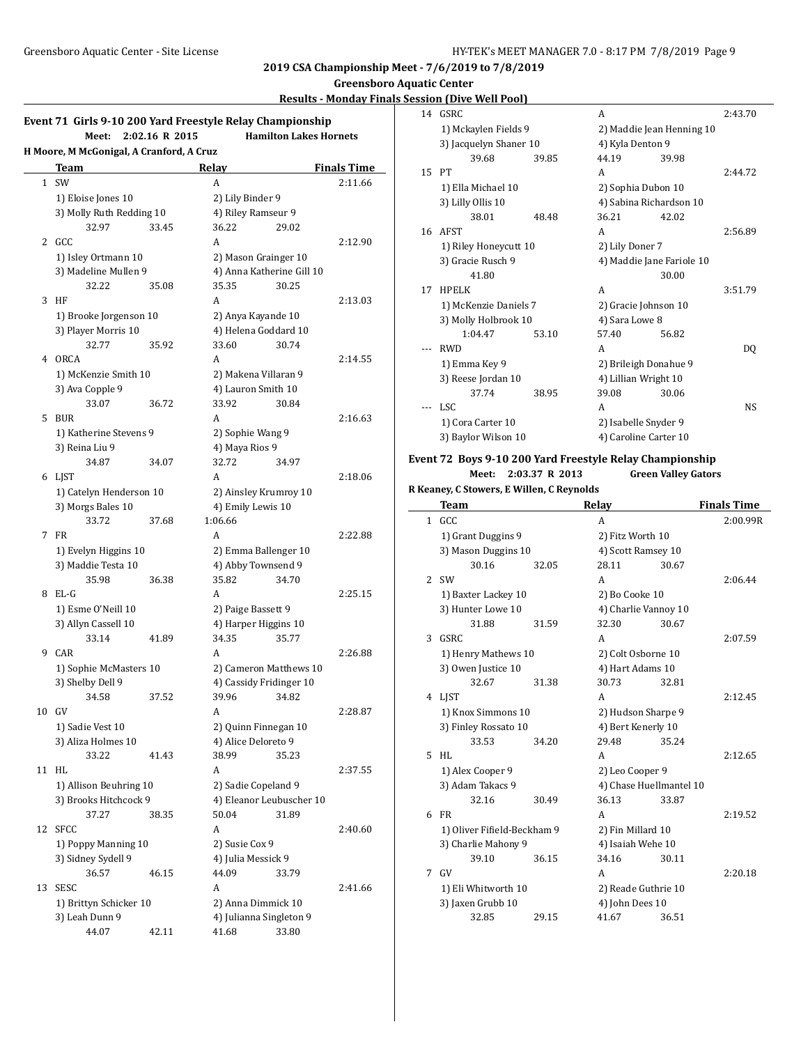**Greensboro Aquatic Center**

### **Results - Monday Finals Session (Dive Well Pool)**

 $\overline{\phantom{a}}$ 

|    | Event 71 Girls 9-10 200 Yard Freestyle Relay Championship<br>Meet: | 2:02.16 R 2015 |                    | <b>Hamilton Lakes Hornets</b>              |                    |
|----|--------------------------------------------------------------------|----------------|--------------------|--------------------------------------------|--------------------|
|    | H Moore, M McGonigal, A Cranford, A Cruz                           |                |                    |                                            |                    |
|    | Team                                                               |                | Relay              |                                            | <b>Finals Time</b> |
| 1  | SW                                                                 |                | A                  |                                            | 2:11.66            |
|    | 1) Eloise Jones 10                                                 |                | 2) Lily Binder 9   |                                            |                    |
|    | 3) Molly Ruth Redding 10                                           |                |                    | 4) Riley Ramseur 9                         |                    |
|    | 32.97                                                              | 33.45          | 36.22              | 29.02                                      |                    |
| 2  | GCC                                                                |                | A                  |                                            | 2:12.90            |
|    | 1) Isley Ortmann 10                                                |                |                    | 2) Mason Grainger 10                       |                    |
|    | 3) Madeline Mullen 9                                               |                |                    | 4) Anna Katherine Gill 10                  |                    |
|    | 32.22                                                              | 35.08          | 35.35              | 30.25                                      |                    |
| 3  | HF                                                                 |                | A                  |                                            | 2:13.03            |
|    | 1) Brooke Jorgenson 10                                             |                |                    | 2) Anya Kayande 10                         |                    |
|    | 3) Player Morris 10                                                |                |                    | 4) Helena Goddard 10                       |                    |
|    | 32.77                                                              | 35.92          | 33.60              | 30.74                                      |                    |
| 4  | <b>ORCA</b>                                                        |                | A                  |                                            | 2:14.55            |
|    | 1) McKenzie Smith 10                                               |                |                    | 2) Makena Villaran 9                       |                    |
|    | 3) Ava Copple 9                                                    |                |                    | 4) Lauron Smith 10                         |                    |
|    | 33.07                                                              | 36.72          | 33.92              | 30.84                                      |                    |
| 5  | <b>BUR</b>                                                         |                | A                  |                                            | 2:16.63            |
|    | 1) Katherine Stevens 9                                             |                | 2) Sophie Wang 9   |                                            |                    |
|    | 3) Reina Liu 9                                                     |                | 4) Maya Rios 9     |                                            |                    |
|    | 34.87                                                              | 34.07          | 32.72              | 34.97                                      |                    |
| 6  | LJST                                                               |                | A                  |                                            | 2:18.06            |
|    | 1) Catelyn Henderson 10                                            |                |                    | 2) Ainsley Krumroy 10                      |                    |
|    | 3) Morgs Bales 10                                                  |                | 4) Emily Lewis 10  |                                            |                    |
|    | 33.72                                                              | 37.68          | 1:06.66<br>A       |                                            |                    |
| 7  | FR                                                                 |                |                    |                                            | 2:22.88            |
|    | 1) Evelyn Higgins 10<br>3) Maddie Testa 10                         |                |                    | 2) Emma Ballenger 10<br>4) Abby Townsend 9 |                    |
|    | 35.98                                                              | 36.38          | 35.82              | 34.70                                      |                    |
| 8  | EL-G                                                               |                | A                  |                                            | 2:25.15            |
|    | 1) Esme O'Neill 10                                                 |                | 2) Paige Bassett 9 |                                            |                    |
|    | 3) Allyn Cassell 10                                                |                |                    | 4) Harper Higgins 10                       |                    |
|    | 33.14                                                              | 41.89          | 34.35              | 35.77                                      |                    |
| 9  | CAR                                                                |                | A                  |                                            | 2:26.88            |
|    | 1) Sophie McMasters 10                                             |                |                    | 2) Cameron Matthews 10                     |                    |
|    | 3) Shelby Dell 9                                                   |                |                    | 4) Cassidy Fridinger 10                    |                    |
|    | 34.58                                                              | 37.52          | 39.96              | 34.82                                      |                    |
|    | 10 GV                                                              |                | A                  |                                            | 2:28.87            |
|    | 1) Sadie Vest 10                                                   |                |                    | 2) Quinn Finnegan 10                       |                    |
|    | 3) Aliza Holmes 10                                                 |                |                    | 4) Alice Deloreto 9                        |                    |
|    | 33.22                                                              | 41.43          | 38.99              | 35.23                                      |                    |
|    | 11 HL                                                              |                | A                  |                                            | 2:37.55            |
|    | 1) Allison Beuhring 10                                             |                |                    | 2) Sadie Copeland 9                        |                    |
|    | 3) Brooks Hitchcock 9                                              |                |                    | 4) Eleanor Leubuscher 10                   |                    |
|    | 37.27                                                              | 38.35          | 50.04              | 31.89                                      |                    |
| 12 | <b>SFCC</b>                                                        |                | A                  |                                            | 2:40.60            |
|    | 1) Poppy Manning 10                                                |                | 2) Susie Cox 9     |                                            |                    |
|    | 3) Sidney Sydell 9                                                 |                | 4) Julia Messick 9 |                                            |                    |
|    | 36.57                                                              | 46.15          | 44.09              | 33.79                                      |                    |
| 13 | <b>SESC</b>                                                        |                | A                  |                                            | 2:41.66            |
|    | 1) Brittyn Schicker 10                                             |                |                    | 2) Anna Dimmick 10                         |                    |
|    | 3) Leah Dunn 9                                                     |                |                    | 4) Julianna Singleton 9                    |                    |
|    |                                                                    |                |                    |                                            |                    |

| 14 | <b>GSRC</b>                         |       | A                         |                           | 2:43.70   |
|----|-------------------------------------|-------|---------------------------|---------------------------|-----------|
|    | 1) Mckaylen Fields 9                |       |                           | 2) Maddie Jean Henning 10 |           |
|    | 3) Jacquelyn Shaner 10              |       | 4) Kyla Denton 9          |                           |           |
|    | 39.68                               | 39.85 | 44.19                     | 39.98                     |           |
| 15 | PT                                  |       | A                         |                           | 2:44.72   |
|    | 1) Ella Michael 10                  |       | 2) Sophia Dubon 10        |                           |           |
|    | 3) Lilly Ollis 10                   |       | 4) Sabina Richardson 10   |                           |           |
|    | 38.01                               | 48.48 | 36.21                     | 42.02                     |           |
|    | 16 AFST                             |       | A                         |                           | 2:56.89   |
|    | 1) Riley Honeycutt 10               |       | 2) Lily Doner 7           |                           |           |
|    | 3) Gracie Rusch 9                   |       | 4) Maddie Jane Fariole 10 |                           |           |
|    | 41.80                               |       |                           | 30.00                     |           |
| 17 | <b>HPELK</b>                        |       | A                         |                           | 3:51.79   |
|    | 1) McKenzie Daniels 7               |       | 2) Gracie Johnson 10      |                           |           |
|    | 3) Molly Holbrook 10                |       | 4) Sara Lowe 8            |                           |           |
|    | 1:04.47                             | 53.10 | 57.40                     | 56.82                     |           |
|    | <b>RWD</b>                          |       | A                         |                           | DQ        |
|    | 1) Emma Key 9<br>3) Reese Jordan 10 |       | 2) Brileigh Donahue 9     |                           |           |
|    |                                     |       | 4) Lillian Wright 10      |                           |           |
|    | 37.74                               | 38.95 | 39.08                     | 30.06                     |           |
|    | LSC.                                |       | A                         |                           | <b>NS</b> |
|    | 1) Cora Carter 10                   |       | 2) Isabelle Snyder 9      |                           |           |
|    | 3) Baylor Wilson 10                 |       | 4) Caroline Carter 10     |                           |           |

### **Event 72 Boys 9-10 200 Yard Freestyle Relay Championship Meet: 2:03.37 R 2013 Green Valley Gators**

**R Keaney, C Stowers, E Willen, C Reynolds**

|              | Team                        |       | Relay                   |       | <b>Finals Time</b> |
|--------------|-----------------------------|-------|-------------------------|-------|--------------------|
| $\mathbf{1}$ | GCC.                        |       | A                       |       | 2:00.99R           |
|              | 1) Grant Duggins 9          |       | 2) Fitz Worth 10        |       |                    |
|              | 3) Mason Duggins 10         |       | 4) Scott Ramsey 10      |       |                    |
|              | 30.16                       | 32.05 | 28.11                   | 30.67 |                    |
| 2            | <b>SW</b>                   |       | A                       |       | 2:06.44            |
|              | 1) Baxter Lackey 10         |       | 2) Bo Cooke 10          |       |                    |
|              | 3) Hunter Lowe 10           |       | 4) Charlie Vannoy 10    |       |                    |
|              | 31.88                       | 31.59 | 32.30                   | 30.67 |                    |
| 3            | <b>GSRC</b>                 |       | A                       |       | 2:07.59            |
|              | 1) Henry Mathews 10         |       | 2) Colt Osborne 10      |       |                    |
|              | 3) Owen Justice 10          |       | 4) Hart Adams 10        |       |                    |
|              | 32.67                       | 31.38 | 30.73                   | 32.81 |                    |
| 4            | LJST                        |       | A                       |       | 2:12.45            |
|              | 1) Knox Simmons 10          |       | 2) Hudson Sharpe 9      |       |                    |
|              | 3) Finley Rossato 10        |       | 4) Bert Kenerly 10      |       |                    |
|              | 33.53                       | 34.20 | 29.48                   | 35.24 |                    |
| 5            | HI.                         |       | A                       |       | 2:12.65            |
|              | 1) Alex Cooper 9            |       | 2) Leo Cooper 9         |       |                    |
|              | 3) Adam Takacs 9            |       | 4) Chase Huellmantel 10 |       |                    |
|              | 32.16                       | 30.49 | 36.13                   | 33.87 |                    |
| 6            | FR                          |       | A                       |       | 2:19.52            |
|              | 1) Oliver Fifield-Beckham 9 |       | 2) Fin Millard 10       |       |                    |
|              | 3) Charlie Mahony 9         |       | 4) Isaiah Wehe 10       |       |                    |
|              | 39.10                       | 36.15 | 34.16                   | 30.11 |                    |
| 7            | GV                          |       | A                       |       | 2:20.18            |
|              | 1) Eli Whitworth 10         |       | 2) Reade Guthrie 10     |       |                    |
|              | 3) Jaxen Grubb 10           |       | 4) John Dees 10         |       |                    |
|              | 32.85                       | 29.15 | 41.67                   | 36.51 |                    |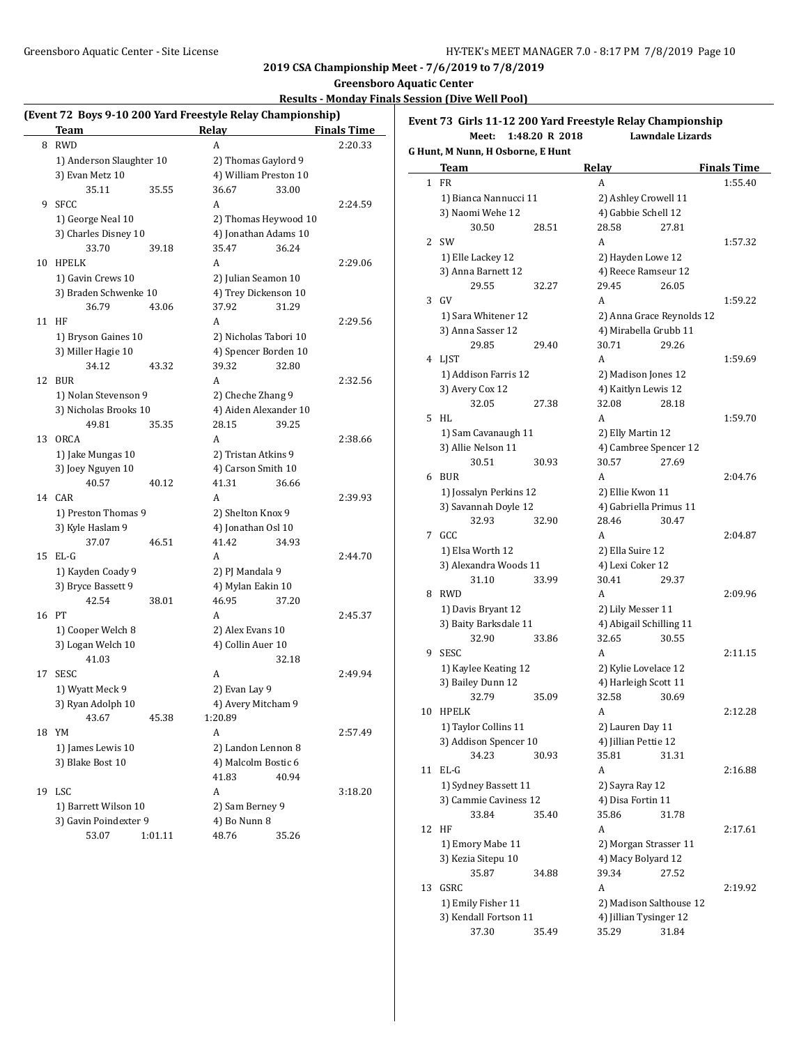**Greensboro Aquatic Center**

### **Results - Monday Finals Session (Dive Well Pool)**

| (Event 72 Boys 9-10 200 Yard Freestyle Relay Championship) |  |  |  |  |
|------------------------------------------------------------|--|--|--|--|
|                                                            |  |  |  |  |
|                                                            |  |  |  |  |
|                                                            |  |  |  |  |

| 8 RWD<br>2:20.33<br>A<br>1) Anderson Slaughter 10<br>2) Thomas Gaylord 9<br>3) Evan Metz 10<br>4) William Preston 10<br>35.11<br>36.67<br>33.00<br>35.55<br><b>SFCC</b><br>A<br>2:24.59<br>9<br>1) George Neal 10<br>2) Thomas Heywood 10<br>3) Charles Disney 10<br>4) Jonathan Adams 10<br>33.70<br>35.47<br>36.24<br>39.18<br><b>HPELK</b><br>10<br>А<br>2:29.06<br>1) Gavin Crews 10<br>2) Julian Seamon 10<br>3) Braden Schwenke 10<br>4) Trey Dickenson 10<br>37.92<br>36.79<br>43.06<br>31.29<br>11<br>HF<br>A<br>2:29.56<br>1) Bryson Gaines 10<br>2) Nicholas Tabori 10<br>3) Miller Hagie 10<br>4) Spencer Borden 10<br>39.32<br>34.12<br>43.32<br>32.80<br>12<br><b>BUR</b><br>2:32.56<br>A<br>1) Nolan Stevenson 9<br>2) Cheche Zhang 9<br>3) Nicholas Brooks 10<br>4) Aiden Alexander 10<br>28.15<br>49.81<br>35.35<br>39.25<br><b>ORCA</b><br>2:38.66<br>13<br>A<br>1) Jake Mungas 10<br>2) Tristan Atkins 9<br>3) Joey Nguyen 10<br>4) Carson Smith 10<br>40.57<br>40.12<br>41.31<br>36.66<br>CAR<br>A<br>2:39.93<br>14<br>1) Preston Thomas 9<br>2) Shelton Knox 9<br>3) Kyle Haslam 9<br>4) Jonathan Osl 10<br>37.07<br>41.42<br>46.51<br>34.93<br>15<br>EL-G<br>2:44.70<br>A<br>1) Kayden Coady 9<br>2) PJ Mandala 9<br>3) Bryce Bassett 9<br>4) Mylan Eakin 10<br>42.54<br>46.95<br>38.01<br>37.20<br>16<br>PТ<br>A<br>2:45.37<br>1) Cooper Welch 8<br>2) Alex Evans 10<br>3) Logan Welch 10<br>4) Collin Auer 10<br>41.03<br>32.18<br><b>SESC</b><br>2:49.94<br>17<br>A<br>1) Wyatt Meck 9<br>2) Evan Lay 9<br>3) Ryan Adolph 10<br>4) Avery Mitcham 9<br>43.67<br>45.38<br>1:20.89<br>YM<br>A<br>18<br>2:57.49<br>1) James Lewis 10<br>2) Landon Lennon 8<br>3) Blake Bost 10<br>4) Malcolm Bostic 6<br>41.83<br>40.94<br>LSC<br>19<br>A<br>3:18.20<br>1) Barrett Wilson 10<br>2) Sam Berney 9<br>3) Gavin Poindexter 9<br>4) Bo Nunn 8 | <b>Team</b> |         | Relay |       | <b>Finals Time</b> |
|--------------------------------------------------------------------------------------------------------------------------------------------------------------------------------------------------------------------------------------------------------------------------------------------------------------------------------------------------------------------------------------------------------------------------------------------------------------------------------------------------------------------------------------------------------------------------------------------------------------------------------------------------------------------------------------------------------------------------------------------------------------------------------------------------------------------------------------------------------------------------------------------------------------------------------------------------------------------------------------------------------------------------------------------------------------------------------------------------------------------------------------------------------------------------------------------------------------------------------------------------------------------------------------------------------------------------------------------------------------------------------------------------------------------------------------------------------------------------------------------------------------------------------------------------------------------------------------------------------------------------------------------------------------------------------------------------------------------------------------------------------------------------------------------------------------------------------------------------------------|-------------|---------|-------|-------|--------------------|
|                                                                                                                                                                                                                                                                                                                                                                                                                                                                                                                                                                                                                                                                                                                                                                                                                                                                                                                                                                                                                                                                                                                                                                                                                                                                                                                                                                                                                                                                                                                                                                                                                                                                                                                                                                                                                                                              |             |         |       |       |                    |
|                                                                                                                                                                                                                                                                                                                                                                                                                                                                                                                                                                                                                                                                                                                                                                                                                                                                                                                                                                                                                                                                                                                                                                                                                                                                                                                                                                                                                                                                                                                                                                                                                                                                                                                                                                                                                                                              |             |         |       |       |                    |
|                                                                                                                                                                                                                                                                                                                                                                                                                                                                                                                                                                                                                                                                                                                                                                                                                                                                                                                                                                                                                                                                                                                                                                                                                                                                                                                                                                                                                                                                                                                                                                                                                                                                                                                                                                                                                                                              |             |         |       |       |                    |
|                                                                                                                                                                                                                                                                                                                                                                                                                                                                                                                                                                                                                                                                                                                                                                                                                                                                                                                                                                                                                                                                                                                                                                                                                                                                                                                                                                                                                                                                                                                                                                                                                                                                                                                                                                                                                                                              |             |         |       |       |                    |
|                                                                                                                                                                                                                                                                                                                                                                                                                                                                                                                                                                                                                                                                                                                                                                                                                                                                                                                                                                                                                                                                                                                                                                                                                                                                                                                                                                                                                                                                                                                                                                                                                                                                                                                                                                                                                                                              |             |         |       |       |                    |
|                                                                                                                                                                                                                                                                                                                                                                                                                                                                                                                                                                                                                                                                                                                                                                                                                                                                                                                                                                                                                                                                                                                                                                                                                                                                                                                                                                                                                                                                                                                                                                                                                                                                                                                                                                                                                                                              |             |         |       |       |                    |
|                                                                                                                                                                                                                                                                                                                                                                                                                                                                                                                                                                                                                                                                                                                                                                                                                                                                                                                                                                                                                                                                                                                                                                                                                                                                                                                                                                                                                                                                                                                                                                                                                                                                                                                                                                                                                                                              |             |         |       |       |                    |
|                                                                                                                                                                                                                                                                                                                                                                                                                                                                                                                                                                                                                                                                                                                                                                                                                                                                                                                                                                                                                                                                                                                                                                                                                                                                                                                                                                                                                                                                                                                                                                                                                                                                                                                                                                                                                                                              |             |         |       |       |                    |
|                                                                                                                                                                                                                                                                                                                                                                                                                                                                                                                                                                                                                                                                                                                                                                                                                                                                                                                                                                                                                                                                                                                                                                                                                                                                                                                                                                                                                                                                                                                                                                                                                                                                                                                                                                                                                                                              |             |         |       |       |                    |
|                                                                                                                                                                                                                                                                                                                                                                                                                                                                                                                                                                                                                                                                                                                                                                                                                                                                                                                                                                                                                                                                                                                                                                                                                                                                                                                                                                                                                                                                                                                                                                                                                                                                                                                                                                                                                                                              |             |         |       |       |                    |
|                                                                                                                                                                                                                                                                                                                                                                                                                                                                                                                                                                                                                                                                                                                                                                                                                                                                                                                                                                                                                                                                                                                                                                                                                                                                                                                                                                                                                                                                                                                                                                                                                                                                                                                                                                                                                                                              |             |         |       |       |                    |
|                                                                                                                                                                                                                                                                                                                                                                                                                                                                                                                                                                                                                                                                                                                                                                                                                                                                                                                                                                                                                                                                                                                                                                                                                                                                                                                                                                                                                                                                                                                                                                                                                                                                                                                                                                                                                                                              |             |         |       |       |                    |
|                                                                                                                                                                                                                                                                                                                                                                                                                                                                                                                                                                                                                                                                                                                                                                                                                                                                                                                                                                                                                                                                                                                                                                                                                                                                                                                                                                                                                                                                                                                                                                                                                                                                                                                                                                                                                                                              |             |         |       |       |                    |
|                                                                                                                                                                                                                                                                                                                                                                                                                                                                                                                                                                                                                                                                                                                                                                                                                                                                                                                                                                                                                                                                                                                                                                                                                                                                                                                                                                                                                                                                                                                                                                                                                                                                                                                                                                                                                                                              |             |         |       |       |                    |
|                                                                                                                                                                                                                                                                                                                                                                                                                                                                                                                                                                                                                                                                                                                                                                                                                                                                                                                                                                                                                                                                                                                                                                                                                                                                                                                                                                                                                                                                                                                                                                                                                                                                                                                                                                                                                                                              |             |         |       |       |                    |
|                                                                                                                                                                                                                                                                                                                                                                                                                                                                                                                                                                                                                                                                                                                                                                                                                                                                                                                                                                                                                                                                                                                                                                                                                                                                                                                                                                                                                                                                                                                                                                                                                                                                                                                                                                                                                                                              |             |         |       |       |                    |
|                                                                                                                                                                                                                                                                                                                                                                                                                                                                                                                                                                                                                                                                                                                                                                                                                                                                                                                                                                                                                                                                                                                                                                                                                                                                                                                                                                                                                                                                                                                                                                                                                                                                                                                                                                                                                                                              |             |         |       |       |                    |
|                                                                                                                                                                                                                                                                                                                                                                                                                                                                                                                                                                                                                                                                                                                                                                                                                                                                                                                                                                                                                                                                                                                                                                                                                                                                                                                                                                                                                                                                                                                                                                                                                                                                                                                                                                                                                                                              |             |         |       |       |                    |
|                                                                                                                                                                                                                                                                                                                                                                                                                                                                                                                                                                                                                                                                                                                                                                                                                                                                                                                                                                                                                                                                                                                                                                                                                                                                                                                                                                                                                                                                                                                                                                                                                                                                                                                                                                                                                                                              |             |         |       |       |                    |
|                                                                                                                                                                                                                                                                                                                                                                                                                                                                                                                                                                                                                                                                                                                                                                                                                                                                                                                                                                                                                                                                                                                                                                                                                                                                                                                                                                                                                                                                                                                                                                                                                                                                                                                                                                                                                                                              |             |         |       |       |                    |
|                                                                                                                                                                                                                                                                                                                                                                                                                                                                                                                                                                                                                                                                                                                                                                                                                                                                                                                                                                                                                                                                                                                                                                                                                                                                                                                                                                                                                                                                                                                                                                                                                                                                                                                                                                                                                                                              |             |         |       |       |                    |
|                                                                                                                                                                                                                                                                                                                                                                                                                                                                                                                                                                                                                                                                                                                                                                                                                                                                                                                                                                                                                                                                                                                                                                                                                                                                                                                                                                                                                                                                                                                                                                                                                                                                                                                                                                                                                                                              |             |         |       |       |                    |
|                                                                                                                                                                                                                                                                                                                                                                                                                                                                                                                                                                                                                                                                                                                                                                                                                                                                                                                                                                                                                                                                                                                                                                                                                                                                                                                                                                                                                                                                                                                                                                                                                                                                                                                                                                                                                                                              |             |         |       |       |                    |
|                                                                                                                                                                                                                                                                                                                                                                                                                                                                                                                                                                                                                                                                                                                                                                                                                                                                                                                                                                                                                                                                                                                                                                                                                                                                                                                                                                                                                                                                                                                                                                                                                                                                                                                                                                                                                                                              |             |         |       |       |                    |
|                                                                                                                                                                                                                                                                                                                                                                                                                                                                                                                                                                                                                                                                                                                                                                                                                                                                                                                                                                                                                                                                                                                                                                                                                                                                                                                                                                                                                                                                                                                                                                                                                                                                                                                                                                                                                                                              |             |         |       |       |                    |
|                                                                                                                                                                                                                                                                                                                                                                                                                                                                                                                                                                                                                                                                                                                                                                                                                                                                                                                                                                                                                                                                                                                                                                                                                                                                                                                                                                                                                                                                                                                                                                                                                                                                                                                                                                                                                                                              |             |         |       |       |                    |
|                                                                                                                                                                                                                                                                                                                                                                                                                                                                                                                                                                                                                                                                                                                                                                                                                                                                                                                                                                                                                                                                                                                                                                                                                                                                                                                                                                                                                                                                                                                                                                                                                                                                                                                                                                                                                                                              |             |         |       |       |                    |
|                                                                                                                                                                                                                                                                                                                                                                                                                                                                                                                                                                                                                                                                                                                                                                                                                                                                                                                                                                                                                                                                                                                                                                                                                                                                                                                                                                                                                                                                                                                                                                                                                                                                                                                                                                                                                                                              |             |         |       |       |                    |
|                                                                                                                                                                                                                                                                                                                                                                                                                                                                                                                                                                                                                                                                                                                                                                                                                                                                                                                                                                                                                                                                                                                                                                                                                                                                                                                                                                                                                                                                                                                                                                                                                                                                                                                                                                                                                                                              |             |         |       |       |                    |
|                                                                                                                                                                                                                                                                                                                                                                                                                                                                                                                                                                                                                                                                                                                                                                                                                                                                                                                                                                                                                                                                                                                                                                                                                                                                                                                                                                                                                                                                                                                                                                                                                                                                                                                                                                                                                                                              |             |         |       |       |                    |
|                                                                                                                                                                                                                                                                                                                                                                                                                                                                                                                                                                                                                                                                                                                                                                                                                                                                                                                                                                                                                                                                                                                                                                                                                                                                                                                                                                                                                                                                                                                                                                                                                                                                                                                                                                                                                                                              |             |         |       |       |                    |
|                                                                                                                                                                                                                                                                                                                                                                                                                                                                                                                                                                                                                                                                                                                                                                                                                                                                                                                                                                                                                                                                                                                                                                                                                                                                                                                                                                                                                                                                                                                                                                                                                                                                                                                                                                                                                                                              |             |         |       |       |                    |
|                                                                                                                                                                                                                                                                                                                                                                                                                                                                                                                                                                                                                                                                                                                                                                                                                                                                                                                                                                                                                                                                                                                                                                                                                                                                                                                                                                                                                                                                                                                                                                                                                                                                                                                                                                                                                                                              |             |         |       |       |                    |
|                                                                                                                                                                                                                                                                                                                                                                                                                                                                                                                                                                                                                                                                                                                                                                                                                                                                                                                                                                                                                                                                                                                                                                                                                                                                                                                                                                                                                                                                                                                                                                                                                                                                                                                                                                                                                                                              |             |         |       |       |                    |
|                                                                                                                                                                                                                                                                                                                                                                                                                                                                                                                                                                                                                                                                                                                                                                                                                                                                                                                                                                                                                                                                                                                                                                                                                                                                                                                                                                                                                                                                                                                                                                                                                                                                                                                                                                                                                                                              |             |         |       |       |                    |
|                                                                                                                                                                                                                                                                                                                                                                                                                                                                                                                                                                                                                                                                                                                                                                                                                                                                                                                                                                                                                                                                                                                                                                                                                                                                                                                                                                                                                                                                                                                                                                                                                                                                                                                                                                                                                                                              |             |         |       |       |                    |
|                                                                                                                                                                                                                                                                                                                                                                                                                                                                                                                                                                                                                                                                                                                                                                                                                                                                                                                                                                                                                                                                                                                                                                                                                                                                                                                                                                                                                                                                                                                                                                                                                                                                                                                                                                                                                                                              |             |         |       |       |                    |
|                                                                                                                                                                                                                                                                                                                                                                                                                                                                                                                                                                                                                                                                                                                                                                                                                                                                                                                                                                                                                                                                                                                                                                                                                                                                                                                                                                                                                                                                                                                                                                                                                                                                                                                                                                                                                                                              |             |         |       |       |                    |
|                                                                                                                                                                                                                                                                                                                                                                                                                                                                                                                                                                                                                                                                                                                                                                                                                                                                                                                                                                                                                                                                                                                                                                                                                                                                                                                                                                                                                                                                                                                                                                                                                                                                                                                                                                                                                                                              |             |         |       |       |                    |
|                                                                                                                                                                                                                                                                                                                                                                                                                                                                                                                                                                                                                                                                                                                                                                                                                                                                                                                                                                                                                                                                                                                                                                                                                                                                                                                                                                                                                                                                                                                                                                                                                                                                                                                                                                                                                                                              |             |         |       |       |                    |
|                                                                                                                                                                                                                                                                                                                                                                                                                                                                                                                                                                                                                                                                                                                                                                                                                                                                                                                                                                                                                                                                                                                                                                                                                                                                                                                                                                                                                                                                                                                                                                                                                                                                                                                                                                                                                                                              |             |         |       |       |                    |
|                                                                                                                                                                                                                                                                                                                                                                                                                                                                                                                                                                                                                                                                                                                                                                                                                                                                                                                                                                                                                                                                                                                                                                                                                                                                                                                                                                                                                                                                                                                                                                                                                                                                                                                                                                                                                                                              |             |         |       |       |                    |
|                                                                                                                                                                                                                                                                                                                                                                                                                                                                                                                                                                                                                                                                                                                                                                                                                                                                                                                                                                                                                                                                                                                                                                                                                                                                                                                                                                                                                                                                                                                                                                                                                                                                                                                                                                                                                                                              |             |         |       |       |                    |
|                                                                                                                                                                                                                                                                                                                                                                                                                                                                                                                                                                                                                                                                                                                                                                                                                                                                                                                                                                                                                                                                                                                                                                                                                                                                                                                                                                                                                                                                                                                                                                                                                                                                                                                                                                                                                                                              |             |         |       |       |                    |
|                                                                                                                                                                                                                                                                                                                                                                                                                                                                                                                                                                                                                                                                                                                                                                                                                                                                                                                                                                                                                                                                                                                                                                                                                                                                                                                                                                                                                                                                                                                                                                                                                                                                                                                                                                                                                                                              |             |         |       |       |                    |
|                                                                                                                                                                                                                                                                                                                                                                                                                                                                                                                                                                                                                                                                                                                                                                                                                                                                                                                                                                                                                                                                                                                                                                                                                                                                                                                                                                                                                                                                                                                                                                                                                                                                                                                                                                                                                                                              |             |         |       |       |                    |
|                                                                                                                                                                                                                                                                                                                                                                                                                                                                                                                                                                                                                                                                                                                                                                                                                                                                                                                                                                                                                                                                                                                                                                                                                                                                                                                                                                                                                                                                                                                                                                                                                                                                                                                                                                                                                                                              | 53.07       | 1:01.11 | 48.76 | 35.26 |                    |

**Event 73 Girls 11-12 200 Yard Freestyle Relay Championship Meet: 1:48.20 R 2018 Lawndale Lizards G Hunt, M Nunn, H Osborne, E Hunt**

|    | Team                       |       | Relay                                        |       | <b>Finals Time</b> |
|----|----------------------------|-------|----------------------------------------------|-------|--------------------|
| 1  | FR                         |       | А                                            |       | 1:55.40            |
|    | 1) Bianca Nannucci 11      |       | 2) Ashley Crowell 11                         |       |                    |
|    | 3) Naomi Wehe 12           |       | 4) Gabbie Schell 12                          |       |                    |
|    | 30.50                      | 28.51 | 28.58                                        | 27.81 |                    |
| 2  | <b>SW</b>                  |       | A                                            |       | 1:57.32            |
|    | 1) Elle Lackey 12          |       | 2) Hayden Lowe 12                            |       |                    |
|    | 3) Anna Barnett 12         |       | 4) Reece Ramseur 12                          |       |                    |
|    | 29.55                      | 32.27 | 29.45                                        | 26.05 |                    |
| 3  | GV                         |       | A                                            |       | 1:59.22            |
|    | 1) Sara Whitener 12        |       | 2) Anna Grace Reynolds 12                    |       |                    |
|    | 3) Anna Sasser 12          |       | 4) Mirabella Grubb 11                        |       |                    |
|    | 29.85                      | 29.40 | 30.71                                        | 29.26 |                    |
| 4  | <b>LIST</b>                |       | A                                            |       | 1:59.69            |
|    | 1) Addison Farris 12       |       | 2) Madison Jones 12                          |       |                    |
|    | 3) Avery Cox 12            |       | 4) Kaitlyn Lewis 12                          |       |                    |
|    | 32.05                      | 27.38 | 32.08                                        | 28.18 |                    |
| 5  | HL                         |       | A                                            |       | 1:59.70            |
|    | 1) Sam Cavanaugh 11        |       | 2) Elly Martin 12                            |       |                    |
|    | 3) Allie Nelson 11         |       | 4) Cambree Spencer 12                        |       |                    |
|    | 30.51                      | 30.93 | 30.57                                        | 27.69 |                    |
| 6  | <b>BUR</b>                 |       | A                                            |       | 2:04.76            |
|    | 1) Jossalyn Perkins 12     |       | 2) Ellie Kwon 11                             |       |                    |
|    | 3) Savannah Doyle 12       |       | 4) Gabriella Primus 11                       |       |                    |
|    | 32.93                      | 32.90 | 28.46                                        | 30.47 |                    |
| 7  | GCC                        |       | A                                            |       | 2:04.87            |
|    | 1) Elsa Worth 12           |       | 2) Ella Suire 12                             |       |                    |
|    | 3) Alexandra Woods 11      |       | 4) Lexi Coker 12                             |       |                    |
|    | 31.10                      | 33.99 | 30.41                                        | 29.37 |                    |
| 8  | <b>RWD</b>                 |       | A                                            |       | 2:09.96            |
|    | 1) Davis Bryant 12         |       | 2) Lily Messer 11                            |       |                    |
|    | 3) Baity Barksdale 11      |       | 4) Abigail Schilling 11                      |       |                    |
|    | 32.90                      | 33.86 | 32.65                                        | 30.55 |                    |
| 9  | <b>SESC</b>                |       | A                                            |       | 2:11.15            |
|    | 1) Kaylee Keating 12       |       | 2) Kylie Lovelace 12<br>4) Harleigh Scott 11 |       |                    |
|    | 3) Bailey Dunn 12<br>32.79 | 35.09 | 32.58                                        | 30.69 |                    |
| 10 | <b>HPELK</b>               |       | A                                            |       | 2:12.28            |
|    | 1) Taylor Collins 11       |       | 2) Lauren Day 11                             |       |                    |
|    | 3) Addison Spencer 10      |       | 4) Jillian Pettie 12                         |       |                    |
|    | 34.23                      | 30.93 | 35.81                                        | 31.31 |                    |
| 11 | $EL-G$                     |       | A                                            |       | 2:16.88            |
|    | 1) Sydney Bassett 11       |       | 2) Sayra Ray 12                              |       |                    |
|    | 3) Cammie Caviness 12      |       | 4) Disa Fortin 11                            |       |                    |
|    | 33.84                      | 35.40 | 35.86                                        | 31.78 |                    |
| 12 | HF                         |       | А                                            |       | 2:17.61            |
|    | 1) Emory Mabe 11           |       | 2) Morgan Strasser 11                        |       |                    |
|    | 3) Kezia Sitepu 10         |       | 4) Macy Bolyard 12                           |       |                    |
|    | 35.87                      | 34.88 | 39.34                                        | 27.52 |                    |
| 13 | GSRC                       |       | А                                            |       | 2:19.92            |
|    | 1) Emily Fisher 11         |       | 2) Madison Salthouse 12                      |       |                    |
|    | 3) Kendall Fortson 11      |       | 4) Jillian Tysinger 12                       |       |                    |
|    | 37.30                      | 35.49 | 35.29                                        | 31.84 |                    |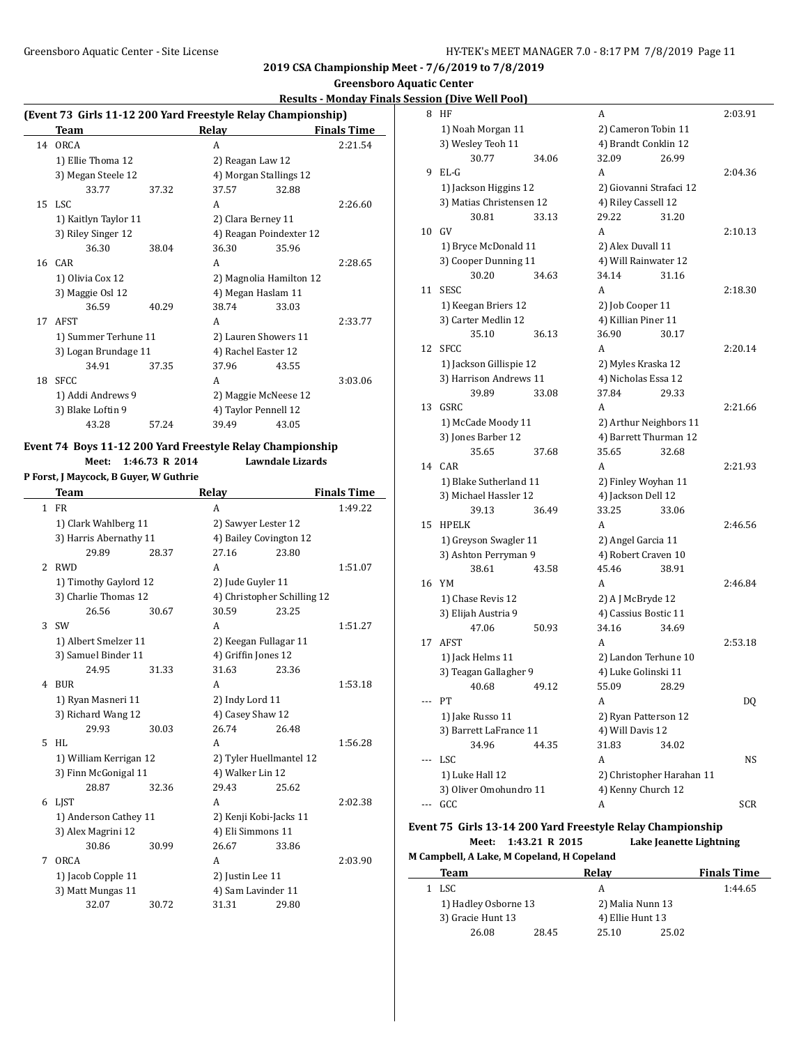# **Results - Monday Finals Session (Dive Well Pool)**

|    | (Event 73 Girls 11-12 200 Yard Freestyle Relay Championship) |       |                         |       |                    |  |  |
|----|--------------------------------------------------------------|-------|-------------------------|-------|--------------------|--|--|
|    | <b>Team</b>                                                  |       | Relay                   |       | <b>Finals Time</b> |  |  |
| 14 | ORCA                                                         |       | A                       |       | 2:21.54            |  |  |
|    | 1) Ellie Thoma 12                                            |       | 2) Reagan Law 12        |       |                    |  |  |
|    | 3) Megan Steele 12                                           |       | 4) Morgan Stallings 12  |       |                    |  |  |
|    | 33.77                                                        | 37.32 | 37.57                   | 32.88 |                    |  |  |
|    | 15 LSC                                                       |       | A                       |       | 2:26.60            |  |  |
|    | 1) Kaitlyn Taylor 11                                         |       | 2) Clara Berney 11      |       |                    |  |  |
|    | 3) Riley Singer 12                                           |       | 4) Reagan Poindexter 12 |       |                    |  |  |
|    | 36.30                                                        | 38.04 | 36.30                   | 35.96 |                    |  |  |
| 16 | <b>CAR</b>                                                   |       | A                       |       | 2:28.65            |  |  |
|    | 1) Olivia Cox 12                                             |       | 2) Magnolia Hamilton 12 |       |                    |  |  |
|    | 3) Maggie Osl 12                                             |       | 4) Megan Haslam 11      |       |                    |  |  |
|    | 36.59                                                        | 40.29 | 38.74                   | 33.03 |                    |  |  |
| 17 | AFST                                                         |       | A                       |       | 2:33.77            |  |  |
|    | 1) Summer Terhune 11                                         |       | 2) Lauren Showers 11    |       |                    |  |  |
|    | 3) Logan Brundage 11                                         |       | 4) Rachel Easter 12     |       |                    |  |  |
|    | 34.91                                                        | 37.35 | 37.96                   | 43.55 |                    |  |  |
| 18 | <b>SFCC</b>                                                  |       | A                       |       | 3:03.06            |  |  |
|    | 1) Addi Andrews 9                                            |       | 2) Maggie McNeese 12    |       |                    |  |  |
|    | 3) Blake Loftin 9                                            |       | 4) Taylor Pennell 12    |       |                    |  |  |
|    | 43.28                                                        | 57.24 | 39.49                   | 43.05 |                    |  |  |

#### **Event 74 Boys 11-12 200 Yard Freestyle Relay Championship**

**Meet: 1:46.73 R 2014 Lawndale Lizards**

**P Forst, J Maycock, B Guyer, W Guthrie**

**Team Relay Finals Time** 1 FR 1:49.22 1) Clark Wahlberg 11 2) Sawyer Lester 12 3) Harris Abernathy 11 4) Bailey Covington 12 29.89 28.37 27.16 23.80 2 RWD A 1:51.07 1) Timothy Gaylord 12 2) Jude Guyler 11 3) Charlie Thomas 12 4) Christopher Schilling 12 26.56 30.67 30.59 23.25 3 SW A 1:51.27 1) Albert Smelzer 11 2) Keegan Fullagar 11 3) Samuel Binder 11 4) Griffin Jones 12 24.95 31.33 31.63 23.36 4 BUR A 1:53.18 1) Ryan Masneri 11 2) Indy Lord 11 3) Richard Wang 12 4) Casey Shaw 12 29.93 30.03 26.74 26.48 5 HL A 1:56.28 1) William Kerrigan 12 2) Tyler Huellmantel 12 3) Finn McGonigal 11 4) Walker Lin 12 28.87 32.36 29.43 25.62 6 LJST A 2:02.38 1) Anderson Cathey 11 2) Kenji Kobi-Jacks 11 3) Alex Magrini 12 4) Eli Simmons 11 30.86 30.99 26.67 33.86 7 ORCA 2:03.90 1) Jacob Copple 11 2) Justin Lee 11 3) Matt Mungas 11 4) Sam Lavinder 11 32.07 30.72 31.31 29.80

| ,,,,,, | <u><u>DIVE WELL OUT</u></u> |                           |         |
|--------|-----------------------------|---------------------------|---------|
| 8      | HF                          | A                         | 2:03.91 |
|        | 1) Noah Morgan 11           | 2) Cameron Tobin 11       |         |
|        | 3) Wesley Teoh 11           | 4) Brandt Conklin 12      |         |
|        | 30.77<br>34.06              | 32.09<br>26.99            |         |
| 9      | $EL-G$                      | A                         | 2:04.36 |
|        | 1) Jackson Higgins 12       | 2) Giovanni Strafaci 12   |         |
|        | 3) Matias Christensen 12    | 4) Riley Cassell 12       |         |
|        | 30.81<br>33.13              | 29.22<br>31.20            |         |
| 10     | GV                          | A                         | 2:10.13 |
|        | 1) Bryce McDonald 11        | 2) Alex Duvall 11         |         |
|        | 3) Cooper Dunning 11        | 4) Will Rainwater 12      |         |
|        | 30.20<br>34.63              | 34.14<br>31.16            |         |
| 11     | <b>SESC</b>                 | A                         | 2:18.30 |
|        |                             |                           |         |
|        | 1) Keegan Briers 12         | 2) Job Cooper 11          |         |
|        | 3) Carter Medlin 12         | 4) Killian Piner 11       |         |
|        | 35.10<br>36.13              | 36.90<br>30.17            |         |
| 12     | <b>SFCC</b>                 | A                         | 2:20.14 |
|        | 1) Jackson Gillispie 12     | 2) Myles Kraska 12        |         |
|        | 3) Harrison Andrews 11      | 4) Nicholas Essa 12       |         |
|        | 39.89<br>33.08              | 37.84<br>29.33            |         |
| 13     | GSRC                        | A                         | 2:21.66 |
|        | 1) McCade Moody 11          | 2) Arthur Neighbors 11    |         |
|        | 3) Jones Barber 12          | 4) Barrett Thurman 12     |         |
|        | 35.65<br>37.68              | 35.65<br>32.68            |         |
| 14     | CAR                         | A                         | 2:21.93 |
|        | 1) Blake Sutherland 11      | 2) Finley Woyhan 11       |         |
|        | 3) Michael Hassler 12       | 4) Jackson Dell 12        |         |
|        | 39.13<br>36.49              | 33.25<br>33.06            |         |
| 15     | <b>HPELK</b>                | A                         | 2:46.56 |
|        | 1) Greyson Swagler 11       | 2) Angel Garcia 11        |         |
|        | 3) Ashton Perryman 9        | 4) Robert Craven 10       |         |
|        | 38.61<br>43.58              | 45.46<br>38.91            |         |
| 16     | YM                          | A                         | 2:46.84 |
|        | 1) Chase Revis 12           | 2) A J McBryde 12         |         |
|        | 3) Elijah Austria 9         | 4) Cassius Bostic 11      |         |
|        | 47.06<br>50.93              | 34.16<br>34.69            |         |
| 17     | AFST                        | A                         | 2:53.18 |
|        | 1) Jack Helms 11            | 2) Landon Terhune 10      |         |
|        | 3) Teagan Gallagher 9       | 4) Luke Golinski 11       |         |
|        | 40.68<br>49.12              | 55.09<br>28.29            |         |
|        | PТ                          | A                         | DQ      |
|        | 1) Jake Russo 11            | 2) Ryan Patterson 12      |         |
|        | 3) Barrett LaFrance 11      | 4) Will Davis 12          |         |
|        | 34.96<br>44.35              | 31.83<br>34.02            |         |
|        | LSC                         | A                         | NS      |
|        | 1) Luke Hall 12             | 2) Christopher Harahan 11 |         |
|        |                             |                           |         |
|        | 3) Oliver Omohundro 11      | 4) Kenny Church 12        |         |
|        | GCC                         | A                         | SCR     |

# **Event 75 Girls 13-14 200 Yard Freestyle Relay Championship Meet: 1:43.21 R 2015 Lake Jeanette Lightning**

**M Campbell, A Lake, M Copeland, H Copeland**

| Team                 |       | Relav            |       | <b>Finals Time</b> |
|----------------------|-------|------------------|-------|--------------------|
| LSC.                 |       |                  |       | 1:44.65            |
| 1) Hadley Osborne 13 |       | 2) Malia Nunn 13 |       |                    |
| 3) Gracie Hunt 13    |       | 4) Ellie Hunt 13 |       |                    |
| 26.08                | 28.45 | 25.10            | 25.02 |                    |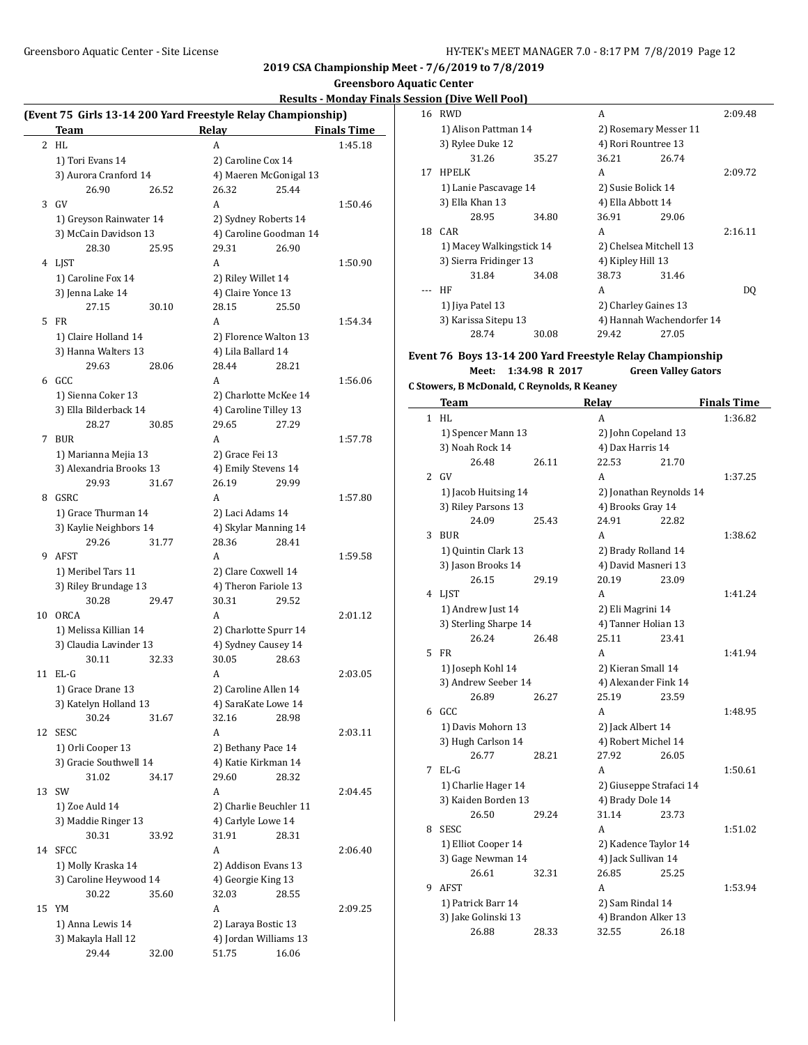# **Greensboro Aquatic Center**

## **Results - Monday Finals Session (Dive Well Pool)**

|    | Team                      | (Event 75 Girls 13-14 200 Yard Freestyle Relay Championship)<br>Relay | <b>Finals Time</b> |
|----|---------------------------|-----------------------------------------------------------------------|--------------------|
| 2  | HL                        | A                                                                     | 1:45.18            |
|    | 1) Tori Evans 14          | 2) Caroline Cox 14                                                    |                    |
|    | 3) Aurora Cranford 14     | 4) Maeren McGonigal 13                                                |                    |
|    | 26.90<br>26.52            | 26.32<br>25.44                                                        |                    |
|    | 3 GV                      | A                                                                     | 1:50.46            |
|    | 1) Greyson Rainwater 14   | 2) Sydney Roberts 14                                                  |                    |
|    | 3) McCain Davidson 13     | 4) Caroline Goodman 14                                                |                    |
|    | 28.30<br>25.95            | 29.31<br>26.90                                                        |                    |
|    | 4 LJST                    | A                                                                     | 1:50.90            |
|    | 1) Caroline Fox 14        | 2) Riley Willet 14                                                    |                    |
|    |                           | 4) Claire Yonce 13                                                    |                    |
|    | 3) Jenna Lake 14<br>27.15 | 28.15                                                                 |                    |
| 5  | 30.10<br>FR               | 25.50                                                                 |                    |
|    |                           | A                                                                     | 1:54.34            |
|    | 1) Claire Holland 14      | 2) Florence Walton 13                                                 |                    |
|    | 3) Hanna Walters 13       | 4) Lila Ballard 14                                                    |                    |
|    | 29.63<br>28.06            | 28.44<br>28.21                                                        |                    |
|    | 6 GCC                     | A                                                                     | 1:56.06            |
|    | 1) Sienna Coker 13        | 2) Charlotte McKee 14                                                 |                    |
|    | 3) Ella Bilderback 14     | 4) Caroline Tilley 13                                                 |                    |
|    | 28.27<br>30.85            | 29.65<br>27.29                                                        |                    |
| 7  | <b>BUR</b>                | A                                                                     | 1:57.78            |
|    | 1) Marianna Mejia 13      | 2) Grace Fei 13                                                       |                    |
|    | 3) Alexandria Brooks 13   | 4) Emily Stevens 14                                                   |                    |
|    | 29.93<br>31.67            | 26.19<br>29.99                                                        |                    |
| 8  | GSRC                      | A                                                                     | 1:57.80            |
|    | 1) Grace Thurman 14       | 2) Laci Adams 14                                                      |                    |
|    | 3) Kaylie Neighbors 14    | 4) Skylar Manning 14                                                  |                    |
|    | 29.26<br>31.77            | 28.36<br>28.41                                                        |                    |
| 9  | AFST                      | A                                                                     | 1:59.58            |
|    | 1) Meribel Tars 11        | 2) Clare Coxwell 14                                                   |                    |
|    | 3) Riley Brundage 13      | 4) Theron Fariole 13                                                  |                    |
|    | 30.28<br>29.47            | 30.31<br>29.52                                                        |                    |
| 10 | <b>ORCA</b>               | A                                                                     | 2:01.12            |
|    | 1) Melissa Killian 14     | 2) Charlotte Spurr 14                                                 |                    |
|    | 3) Claudia Lavinder 13    | 4) Sydney Causey 14                                                   |                    |
|    | 30.11<br>32.33            | 30.05<br>28.63                                                        |                    |
| 11 | $EL-G$                    | A                                                                     | 2:03.05            |
|    | 1) Grace Drane 13         | 2) Caroline Allen 14                                                  |                    |
|    | 3) Katelyn Holland 13     | 4) SaraKate Lowe 14                                                   |                    |
|    | 30.24<br>31.67            | 32.16<br>28.98                                                        |                    |
| 12 | <b>SESC</b>               | A                                                                     | 2:03.11            |
|    |                           |                                                                       |                    |
|    | 1) Orli Cooper 13         | 2) Bethany Pace 14                                                    |                    |
|    | 3) Gracie Southwell 14    | 4) Katie Kirkman 14                                                   |                    |
|    | 31.02<br>34.17            | 29.60<br>28.32                                                        |                    |
| 13 | SW                        | A                                                                     | 2:04.45            |
|    | 1) Zoe Auld 14            | 2) Charlie Beuchler 11                                                |                    |
|    | 3) Maddie Ringer 13       | 4) Carlyle Lowe 14                                                    |                    |
|    | 30.31<br>33.92            | 31.91<br>28.31                                                        |                    |
| 14 | <b>SFCC</b>               | A                                                                     | 2:06.40            |
|    | 1) Molly Kraska 14        | 2) Addison Evans 13                                                   |                    |
|    | 3) Caroline Heywood 14    | 4) Georgie King 13                                                    |                    |
|    | 30.22<br>35.60            | 32.03<br>28.55                                                        |                    |
| 15 | YM                        | A                                                                     | 2:09.25            |
|    | 1) Anna Lewis 14          | 2) Laraya Bostic 13                                                   |                    |
|    | 3) Makayla Hall 12        | 4) Jordan Williams 13                                                 |                    |
|    | 29.44<br>32.00            | 51.75<br>16.06                                                        |                    |
|    |                           |                                                                       |                    |

| 16 | RWD                      |       | А                         |       | 2:09.48 |
|----|--------------------------|-------|---------------------------|-------|---------|
|    | 1) Alison Pattman 14     |       | 2) Rosemary Messer 11     |       |         |
|    | 3) Rylee Duke 12         |       | 4) Rori Rountree 13       |       |         |
|    | 31.26                    | 35.27 | 36.21                     | 26.74 |         |
| 17 | <b>HPELK</b>             |       | A                         |       | 2:09.72 |
|    | 1) Lanie Pascavage 14    |       | 2) Susie Bolick 14        |       |         |
|    | 3) Ella Khan 13          |       | 4) Ella Abbott 14         |       |         |
|    | 28.95                    | 34.80 | 36.91                     | 29.06 |         |
|    | 18 CAR                   |       | А                         |       | 2:16.11 |
|    | 1) Macey Walkingstick 14 |       | 2) Chelsea Mitchell 13    |       |         |
|    | 3) Sierra Fridinger 13   |       | 4) Kipley Hill 13         |       |         |
|    | 31.84                    | 34.08 | 38.73                     | 31.46 |         |
|    | HF                       |       | А                         |       | DO.     |
|    | 1) Jiya Patel 13         |       | 2) Charley Gaines 13      |       |         |
|    | 3) Karissa Sitepu 13     |       | 4) Hannah Wachendorfer 14 |       |         |
|    | 28.74                    | 30.08 | 29.42                     | 27.05 |         |

#### **Event 76 Boys 13-14 200 Yard Freestyle Relay Championship**

**Meet: 1:34.98 R 2017 Green Valley Gators**

```
C Stowers, B McDonald, C Reynolds, R Keaney
```

|   | Team                  |       | Relay                   |                         | <b>Finals Time</b> |  |
|---|-----------------------|-------|-------------------------|-------------------------|--------------------|--|
| 1 | HL                    |       | A                       |                         | 1:36.82            |  |
|   | 1) Spencer Mann 13    |       | 2) John Copeland 13     |                         |                    |  |
|   | 3) Noah Rock 14       |       | 4) Dax Harris 14        |                         |                    |  |
|   | 26.48                 | 26.11 | 22.53                   | 21.70                   |                    |  |
| 2 | GV                    |       | A                       |                         | 1:37.25            |  |
|   | 1) Jacob Huitsing 14  |       | 2) Jonathan Reynolds 14 |                         |                    |  |
|   | 3) Riley Parsons 13   |       | 4) Brooks Gray 14       |                         |                    |  |
|   | 24.09                 | 25.43 | 24.91                   | 22.82                   |                    |  |
| 3 | <b>BUR</b>            |       | A                       |                         | 1:38.62            |  |
|   | 1) Quintin Clark 13   |       | 2) Brady Rolland 14     |                         |                    |  |
|   | 3) Jason Brooks 14    |       | 4) David Masneri 13     |                         |                    |  |
|   | 26.15                 | 29.19 | 20.19                   | 23.09                   |                    |  |
| 4 | LIST                  |       | A                       |                         | 1:41.24            |  |
|   | 1) Andrew Just 14     |       | 2) Eli Magrini 14       |                         |                    |  |
|   | 3) Sterling Sharpe 14 |       | 4) Tanner Holian 13     |                         |                    |  |
|   | 26.24                 | 26.48 | 25.11                   | 23.41                   |                    |  |
| 5 | <b>FR</b>             |       | A                       |                         | 1:41.94            |  |
|   | 1) Joseph Kohl 14     |       | 2) Kieran Small 14      |                         |                    |  |
|   | 3) Andrew Seeber 14   |       | 4) Alexander Fink 14    |                         |                    |  |
|   | 26.89                 | 26.27 | 25.19                   | 23.59                   |                    |  |
| 6 | GCC.                  |       | A                       |                         | 1:48.95            |  |
|   | 1) Davis Mohorn 13    |       |                         | 2) Jack Albert 14       |                    |  |
|   | 3) Hugh Carlson 14    |       | 4) Robert Michel 14     |                         |                    |  |
|   | 26.77                 | 28.21 | 27.92                   | 26.05                   |                    |  |
| 7 | $E L - G$             |       | A                       |                         | 1:50.61            |  |
|   | 1) Charlie Hager 14   |       |                         | 2) Giuseppe Strafaci 14 |                    |  |
|   | 3) Kaiden Borden 13   |       | 4) Brady Dole 14        |                         |                    |  |
|   | 26.50                 | 29.24 | 31.14                   | 23.73                   |                    |  |
| 8 | <b>SESC</b>           |       | A                       |                         | 1:51.02            |  |
|   | 1) Elliot Cooper 14   |       | 2) Kadence Taylor 14    |                         |                    |  |
|   | 3) Gage Newman 14     |       | 4) Jack Sullivan 14     |                         |                    |  |
|   | 26.61                 | 32.31 | 26.85                   | 25.25                   |                    |  |
| 9 | <b>AFST</b>           |       | A                       |                         | 1:53.94            |  |
|   | 1) Patrick Barr 14    |       |                         | 2) Sam Rindal 14        |                    |  |
|   | 3) Jake Golinski 13   |       | 4) Brandon Alker 13     |                         |                    |  |
|   | 26.88                 | 28.33 | 32.55                   | 26.18                   |                    |  |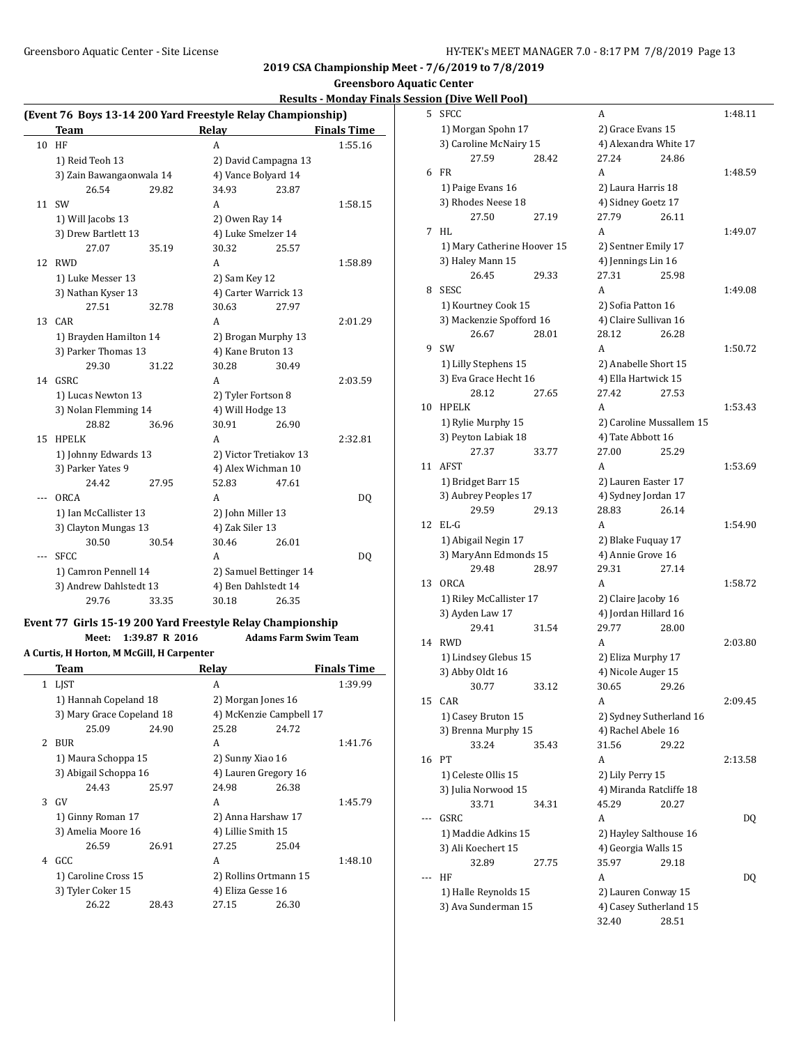# **Greensboro Aquatic Center**

### **Results - Monday Finals Session**

| (Event 76 Boys 13-14 200 Yard Freestyle Relay Championship) |                          |       |                        |       |                    |  |  |
|-------------------------------------------------------------|--------------------------|-------|------------------------|-------|--------------------|--|--|
|                                                             | <b>Team</b>              |       | <b>Relay</b>           |       | <b>Finals Time</b> |  |  |
| 10                                                          | HF                       |       | A                      |       | 1:55.16            |  |  |
|                                                             | 1) Reid Teoh 13          |       | 2) David Campagna 13   |       |                    |  |  |
|                                                             | 3) Zain Bawangaonwala 14 |       | 4) Vance Bolyard 14    |       |                    |  |  |
|                                                             | 26.54                    | 29.82 | 34.93                  | 23.87 |                    |  |  |
| 11                                                          | <b>SW</b>                |       | A                      |       | 1:58.15            |  |  |
|                                                             | 1) Will Jacobs 13        |       | 2) Owen Ray 14         |       |                    |  |  |
|                                                             | 3) Drew Bartlett 13      |       | 4) Luke Smelzer 14     |       |                    |  |  |
|                                                             | 27.07                    | 35.19 | 30.32                  | 25.57 |                    |  |  |
| 12                                                          | <b>RWD</b>               |       | A                      |       | 1:58.89            |  |  |
|                                                             | 1) Luke Messer 13        |       | 2) Sam Key 12          |       |                    |  |  |
|                                                             | 3) Nathan Kyser 13       |       | 4) Carter Warrick 13   |       |                    |  |  |
|                                                             | 27.51                    | 32.78 | 30.63                  | 27.97 |                    |  |  |
|                                                             | 13 CAR                   |       | A                      |       | 2:01.29            |  |  |
|                                                             | 1) Brayden Hamilton 14   |       | 2) Brogan Murphy 13    |       |                    |  |  |
|                                                             | 3) Parker Thomas 13      |       | 4) Kane Bruton 13      |       |                    |  |  |
|                                                             | 29.30                    | 31.22 | 30.28                  | 30.49 |                    |  |  |
| 14                                                          | <b>GSRC</b>              |       | A                      |       | 2:03.59            |  |  |
|                                                             | 1) Lucas Newton 13       |       | 2) Tyler Fortson 8     |       |                    |  |  |
|                                                             | 3) Nolan Flemming 14     |       | 4) Will Hodge 13       |       |                    |  |  |
|                                                             | 28.82                    | 36.96 | 30.91                  | 26.90 |                    |  |  |
| 15                                                          | <b>HPELK</b>             |       | A                      |       | 2:32.81            |  |  |
|                                                             | 1) Johnny Edwards 13     |       | 2) Victor Tretiakov 13 |       |                    |  |  |
|                                                             | 3) Parker Yates 9        |       | 4) Alex Wichman 10     |       |                    |  |  |
|                                                             | 24.42                    | 27.95 | 52.83                  | 47.61 |                    |  |  |
|                                                             | <b>ORCA</b>              |       | A                      |       | DQ                 |  |  |
|                                                             | 1) Ian McCallister 13    |       | 2) John Miller 13      |       |                    |  |  |
|                                                             | 3) Clayton Mungas 13     |       | 4) Zak Siler 13        |       |                    |  |  |
|                                                             | 30.50                    | 30.54 | 30.46                  | 26.01 |                    |  |  |
| $---$                                                       | SFCC                     |       | A                      |       | DQ                 |  |  |
|                                                             | 1) Camron Pennell 14     |       | 2) Samuel Bettinger 14 |       |                    |  |  |
|                                                             | 3) Andrew Dahlstedt 13   |       | 4) Ben Dahlstedt 14    |       |                    |  |  |
|                                                             | 29.76                    | 33.35 | 30.18                  | 26.35 |                    |  |  |

### **Event 77 Girls 15-19 200 Yard Freestyle Relay Championship**

**Meet: 1:39.87 R 2016 Adams Farm Swim Team**

**A Curtis, H Horton, M McGill, H Carpenter**

|   | Team                      |       | Relay                   |       | <b>Finals Time</b> |
|---|---------------------------|-------|-------------------------|-------|--------------------|
| 1 | LJST                      |       | A                       |       | 1:39.99            |
|   | 1) Hannah Copeland 18     |       | 2) Morgan Jones 16      |       |                    |
|   | 3) Mary Grace Copeland 18 |       | 4) McKenzie Campbell 17 |       |                    |
|   | 25.09                     | 24.90 | 25.28                   | 24.72 |                    |
|   | 2 BUR                     |       | A                       |       | 1:41.76            |
|   | 1) Maura Schoppa 15       |       | 2) Sunny Xiao 16        |       |                    |
|   | 3) Abigail Schoppa 16     |       | 4) Lauren Gregory 16    |       |                    |
|   | 24.43                     | 25.97 | 24.98                   | 26.38 |                    |
| 3 | GV                        |       | A                       |       | 1:45.79            |
|   | 1) Ginny Roman 17         |       | 2) Anna Harshaw 17      |       |                    |
|   | 3) Amelia Moore 16        |       | 4) Lillie Smith 15      |       |                    |
|   | 26.59                     | 26.91 | 27.25                   | 25.04 |                    |
| 4 | GCC.                      |       | A                       |       | 1:48.10            |
|   | 1) Caroline Cross 15      |       | 2) Rollins Ortmann 15   |       |                    |
|   | 3) Tyler Coker 15         |       | 4) Eliza Gesse 16       |       |                    |
|   | 26.22                     | 28.43 | 27.15                   | 26.30 |                    |
|   |                           |       |                         |       |                    |

|                     | <u>sion (Dive Well Pool)</u> |       |                                               |       |         |
|---------------------|------------------------------|-------|-----------------------------------------------|-------|---------|
| 5                   | <b>SFCC</b>                  |       | A                                             |       | 1:48.11 |
|                     | 1) Morgan Spohn 17           |       | 2) Grace Evans 15                             |       |         |
|                     | 3) Caroline McNairy 15       |       | 4) Alexandra White 17                         |       |         |
|                     | 27.59                        | 28.42 | 27.24                                         | 24.86 |         |
| 6                   | <b>FR</b>                    |       | A                                             |       | 1:48.59 |
|                     | 1) Paige Evans 16            |       | 2) Laura Harris 18                            |       |         |
|                     | 3) Rhodes Neese 18           |       | 4) Sidney Goetz 17                            |       |         |
|                     | 27.50                        | 27.19 | 27.79                                         | 26.11 |         |
| 7                   | HL                           |       | A                                             |       | 1:49.07 |
|                     | 1) Mary Catherine Hoover 15  |       | 2) Sentner Emily 17                           |       |         |
|                     | 3) Haley Mann 15             |       | 4) Jennings Lin 16                            |       |         |
|                     | 26.45                        | 29.33 | 27.31                                         | 25.98 |         |
| 8                   | <b>SESC</b>                  |       | A                                             |       | 1:49.08 |
|                     |                              |       |                                               |       |         |
|                     | 1) Kourtney Cook 15          |       | 2) Sofia Patton 16                            |       |         |
|                     | 3) Mackenzie Spofford 16     |       | 4) Claire Sullivan 16                         |       |         |
|                     | 26.67                        | 28.01 | 28.12                                         | 26.28 |         |
| 9                   | SW                           |       | A                                             |       | 1:50.72 |
|                     | 1) Lilly Stephens 15         |       | 2) Anabelle Short 15                          |       |         |
|                     | 3) Eva Grace Hecht 16        |       | 4) Ella Hartwick 15                           |       |         |
|                     | 28.12                        | 27.65 | 27.42                                         | 27.53 |         |
| 10                  | <b>HPELK</b>                 |       | A                                             |       | 1:53.43 |
|                     | 1) Rylie Murphy 15           |       | 2) Caroline Mussallem 15                      |       |         |
|                     | 3) Peyton Labiak 18          |       | 4) Tate Abbott 16                             |       |         |
|                     | 27.37                        | 33.77 | 27.00                                         | 25.29 |         |
| 11                  | AFST                         |       | A                                             |       | 1:53.69 |
|                     | 1) Bridget Barr 15           |       | 2) Lauren Easter 17                           |       |         |
|                     | 3) Aubrey Peoples 17         |       | 4) Sydney Jordan 17                           |       |         |
|                     | 29.59                        | 29.13 | 28.83                                         | 26.14 |         |
| 12                  | $EL-G$                       |       | A                                             |       | 1:54.90 |
|                     | 1) Abigail Negin 17          |       | 2) Blake Fuquay 17                            |       |         |
|                     | 3) MaryAnn Edmonds 15        |       | 4) Annie Grove 16                             |       |         |
|                     | 29.48                        | 28.97 | 29.31                                         | 27.14 |         |
| 13                  | ORCA                         |       | A                                             |       | 1:58.72 |
|                     | 1) Riley McCallister 17      |       | 2) Claire Jacoby 16                           |       |         |
|                     | 3) Ayden Law 17              |       | 4) Jordan Hillard 16                          |       |         |
|                     | 29.41                        | 31.54 | 29.77                                         | 28.00 |         |
| 14                  | <b>RWD</b>                   |       | A                                             |       | 2:03.80 |
|                     | 1) Lindsey Glebus 15         |       | 2) Eliza Murphy 17                            |       |         |
|                     | 3) Abby Oldt 16              |       | 4) Nicole Auger 15                            |       |         |
|                     | 30.77                        |       | 30.65                                         | 29.26 |         |
| 15                  | CAR                          | 33.12 | A                                             |       | 2:09.45 |
|                     |                              |       |                                               |       |         |
|                     | 1) Casey Bruton 15           |       | 2) Sydney Sutherland 16<br>4) Rachel Abele 16 |       |         |
|                     | 3) Brenna Murphy 15          |       |                                               |       |         |
|                     | 33.24                        | 35.43 | 31.56                                         | 29.22 |         |
| 16                  | PT                           |       | A                                             |       | 2:13.58 |
|                     | 1) Celeste Ollis 15          |       | 2) Lily Perry 15                              |       |         |
|                     | 3) Julia Norwood 15          |       | 4) Miranda Ratcliffe 18                       |       |         |
|                     | 33.71                        | 34.31 | 45.29                                         | 20.27 |         |
|                     | GSRC                         |       | A                                             |       | DQ      |
| 1) Maddie Adkins 15 |                              |       | 2) Hayley Salthouse 16                        |       |         |
|                     | 3) Ali Koechert 15           |       | 4) Georgia Walls 15                           |       |         |
|                     | 32.89                        | 27.75 | 35.97                                         | 29.18 |         |
|                     | HF                           |       | A                                             |       | DQ      |
|                     | 1) Halle Reynolds 15         |       | 2) Lauren Conway 15                           |       |         |
|                     | 3) Ava Sunderman 15          |       | 4) Casey Sutherland 15                        |       |         |
|                     |                              |       | 32.40                                         | 28.51 |         |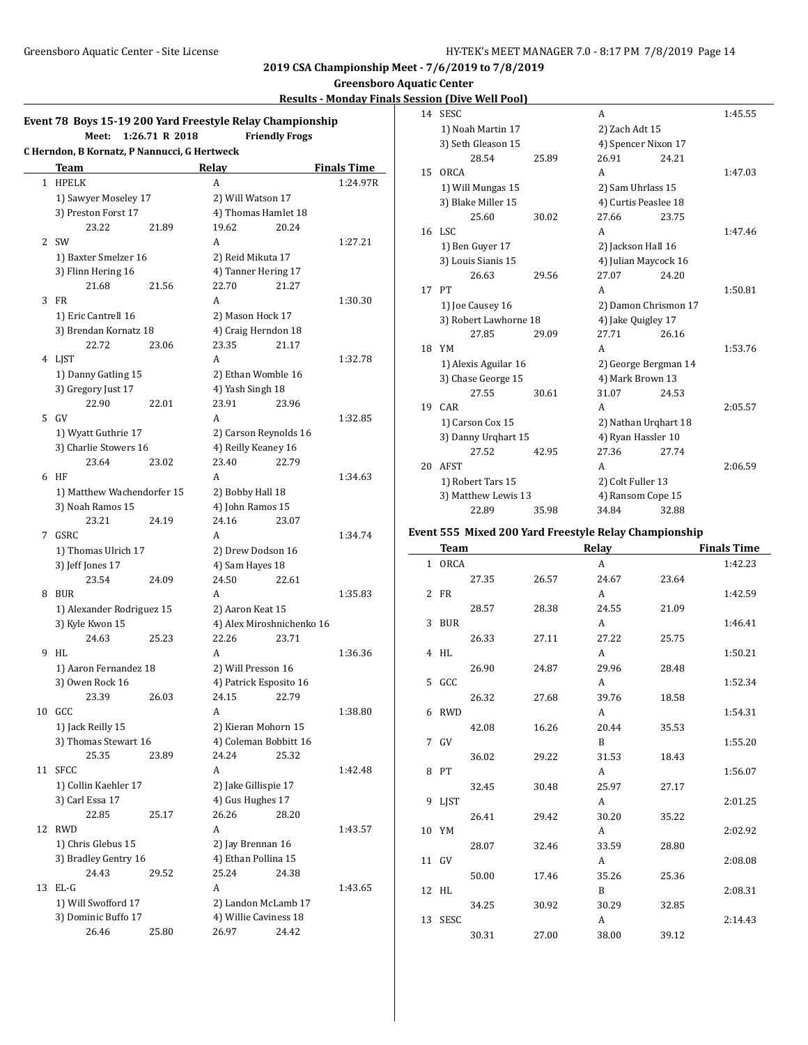**Greensboro Aquatic Center**

### **Results - Monday Finals Session (Dive Well Pool)**

|    | Event 78 Boys 15-19 200 Yard Freestyle Relay Championship<br>Meet: | 1:26.71 R 2018 |                       | <b>Friendly Frogs</b>     |                    |  |
|----|--------------------------------------------------------------------|----------------|-----------------------|---------------------------|--------------------|--|
|    | C Herndon, B Kornatz, P Nannucci, G Hertweck                       |                |                       |                           |                    |  |
|    | Team                                                               |                | Relay                 |                           | <b>Finals Time</b> |  |
|    | 1 HPELK                                                            |                | A                     |                           | 1:24.97R           |  |
|    | 1) Sawyer Moseley 17                                               |                | 2) Will Watson 17     |                           |                    |  |
|    | 3) Preston Forst 17                                                |                |                       | 4) Thomas Hamlet 18       |                    |  |
|    | 23.22                                                              | 21.89          | 19.62                 | 20.24                     |                    |  |
| 2  | SW                                                                 |                | A                     |                           | 1:27.21            |  |
|    | 1) Baxter Smelzer 16                                               |                | 2) Reid Mikuta 17     |                           |                    |  |
|    | 3) Flinn Hering 16                                                 |                | 4) Tanner Hering 17   |                           |                    |  |
|    | 21.68                                                              | 21.56          | 22.70                 | 21.27                     |                    |  |
| 3  | FR                                                                 |                | A                     |                           | 1:30.30            |  |
|    | 1) Eric Cantrell 16                                                |                | 2) Mason Hock 17      |                           |                    |  |
|    | 3) Brendan Kornatz 18                                              |                | 4) Craig Herndon 18   |                           |                    |  |
|    | 22.72                                                              | 23.06          | 23.35                 | 21.17                     |                    |  |
|    | 4 LJST                                                             |                | A                     |                           | 1:32.78            |  |
|    | 1) Danny Gatling 15                                                |                | 2) Ethan Womble 16    |                           |                    |  |
|    | 3) Gregory Just 17                                                 |                | 4) Yash Singh 18      |                           |                    |  |
|    | 22.90                                                              | 22.01          | 23.91                 | 23.96                     |                    |  |
| 5  | GV                                                                 |                | A                     |                           | 1:32.85            |  |
|    | 1) Wyatt Guthrie 17                                                |                |                       | 2) Carson Reynolds 16     |                    |  |
|    | 3) Charlie Stowers 16                                              |                | 4) Reilly Keaney 16   |                           |                    |  |
|    | 23.64                                                              | 23.02          | 23.40                 | 22.79                     |                    |  |
| 6  | HF                                                                 |                | A                     |                           | 1:34.63            |  |
|    | 1) Matthew Wachendorfer 15                                         |                | 2) Bobby Hall 18      |                           |                    |  |
|    | 3) Noah Ramos 15                                                   |                | 4) John Ramos 15      |                           |                    |  |
|    | 23.21                                                              | 24.19          | 24.16                 | 23.07                     |                    |  |
|    | 7 GSRC                                                             |                | A                     |                           | 1:34.74            |  |
|    | 1) Thomas Ulrich 17                                                |                | 2) Drew Dodson 16     |                           |                    |  |
|    | 3) Jeff Jones 17                                                   |                | 4) Sam Hayes 18       |                           |                    |  |
|    | 23.54                                                              | 24.09          | 24.50                 | 22.61                     |                    |  |
| 8  | BUR                                                                |                | A                     |                           | 1:35.83            |  |
|    | 1) Alexander Rodriguez 15                                          |                | 2) Aaron Keat 15      |                           |                    |  |
|    | 3) Kyle Kwon 15                                                    |                |                       | 4) Alex Miroshnichenko 16 |                    |  |
|    | 24.63                                                              | 25.23          | 22.26                 | 23.71                     |                    |  |
| 9  | <b>HL</b>                                                          |                | A                     |                           | 1:36.36            |  |
|    | 1) Aaron Fernandez 18                                              |                | 2) Will Presson 16    |                           |                    |  |
|    | 3) Owen Rock 16                                                    |                |                       | 4) Patrick Esposito 16    |                    |  |
|    | 23.39                                                              | 26.03          | 24.15                 | 22.79                     |                    |  |
| 10 | GCC                                                                |                | A                     |                           | 1:38.80            |  |
|    | 1) Jack Reilly 15                                                  |                |                       | 2) Kieran Mohorn 15       |                    |  |
|    | 3) Thomas Stewart 16                                               |                | 4) Coleman Bobbitt 16 |                           |                    |  |
|    | 25.35                                                              | 23.89          | 24.24                 | 25.32                     |                    |  |
| 11 | <b>SFCC</b>                                                        |                | A                     |                           | 1:42.48            |  |
|    | 1) Collin Kaehler 17                                               |                | 2) Jake Gillispie 17  |                           |                    |  |
|    | 3) Carl Essa 17                                                    |                | 4) Gus Hughes 17      |                           |                    |  |
|    | 22.85                                                              | 25.17          | 26.26                 | 28.20                     |                    |  |
| 12 | <b>RWD</b>                                                         |                | A                     |                           | 1:43.57            |  |
|    | 1) Chris Glebus 15                                                 |                | 2) Jay Brennan 16     |                           |                    |  |
|    | 3) Bradley Gentry 16                                               |                | 4) Ethan Pollina 15   |                           |                    |  |
|    | 24.43                                                              | 29.52          | 25.24                 | 24.38                     |                    |  |
|    | 13 EL-G                                                            |                | A                     |                           | 1:43.65            |  |
|    | 1) Will Swofford 17                                                |                | 2) Landon McLamb 17   |                           |                    |  |
|    | 3) Dominic Buffo 17                                                |                | 4) Willie Caviness 18 |                           |                    |  |
|    | 26.46                                                              | 25.80          | 26.97                 | 24.42                     |                    |  |
|    |                                                                    |                |                       |                           |                    |  |

| 14                  | <b>SESC</b>           |       | A                    |       | 1:45.55 |
|---------------------|-----------------------|-------|----------------------|-------|---------|
|                     | 1) Noah Martin 17     |       | 2) Zach Adt 15       |       |         |
|                     | 3) Seth Gleason 15    |       | 4) Spencer Nixon 17  |       |         |
|                     | 28.54                 | 25.89 | 26.91                | 24.21 |         |
| 15 <sup>2</sup>     | ORCA                  |       | A                    |       | 1:47.03 |
|                     | 1) Will Mungas 15     |       | 2) Sam Uhrlass 15    |       |         |
|                     | 3) Blake Miller 15    |       | 4) Curtis Peaslee 18 |       |         |
|                     | 25.60                 | 30.02 | 27.66                | 23.75 |         |
| 16                  | LSC.                  |       | A                    |       | 1:47.46 |
|                     | 1) Ben Guyer 17       |       | 2) Jackson Hall 16   |       |         |
|                     | 3) Louis Sianis 15    |       | 4) Julian Maycock 16 |       |         |
|                     | 26.63                 | 29.56 | 27.07                | 24.20 |         |
| 17                  | PT                    |       | A                    |       | 1:50.81 |
|                     | 1) Joe Causey 16      |       | 2) Damon Chrismon 17 |       |         |
|                     | 3) Robert Lawhorne 18 |       | 4) Jake Quigley 17   |       |         |
|                     | 27.85                 | 29.09 | 27.71                | 26.16 |         |
| 18                  | YM                    |       | A                    |       | 1:53.76 |
|                     | 1) Alexis Aguilar 16  |       | 2) George Bergman 14 |       |         |
|                     | 3) Chase George 15    |       | 4) Mark Brown 13     |       |         |
|                     | 27.55                 | 30.61 | 31.07                | 24.53 |         |
| 19                  | CAR                   |       | A                    |       | 2:05.57 |
|                     | 1) Carson Cox 15      |       | 2) Nathan Urghart 18 |       |         |
| 3) Danny Urghart 15 |                       |       | 4) Ryan Hassler 10   |       |         |
|                     | 27.52                 | 42.95 | 27.36                | 27.74 |         |
| 20                  | <b>AFST</b>           |       | A                    |       | 2:06.59 |
|                     | 1) Robert Tars 15     |       | 2) Colt Fuller 13    |       |         |
|                     | 3) Matthew Lewis 13   |       | 4) Ransom Cope 15    |       |         |
|                     | 22.89                 | 35.98 | 34.84                | 32.88 |         |

# **Event 555 Mixed 200 Yard Freestyle Relay Championship**

| <b>Team</b> |       |       | <b>Relay</b> |       | <b>Finals Time</b> |
|-------------|-------|-------|--------------|-------|--------------------|
| 1 ORCA      |       |       | A            |       | 1:42.23            |
|             | 27.35 | 26.57 | 24.67        | 23.64 |                    |
| 2 FR        |       |       | A            |       | 1:42.59            |
|             | 28.57 | 28.38 | 24.55        | 21.09 |                    |
| 3 BUR       |       |       | A            |       | 1:46.41            |
|             | 26.33 | 27.11 | 27.22        | 25.75 |                    |
| 4 HL        |       |       | A            |       | 1:50.21            |
|             | 26.90 | 24.87 | 29.96        | 28.48 |                    |
| 5 GCC       |       |       | A            |       | 1:52.34            |
|             | 26.32 | 27.68 | 39.76        | 18.58 |                    |
| 6 RWD       |       |       | A            |       | 1:54.31            |
|             | 42.08 | 16.26 | 20.44        | 35.53 |                    |
| 7 GV        |       |       | B            |       | 1:55.20            |
|             | 36.02 | 29.22 | 31.53        | 18.43 |                    |
| 8 PT        |       |       | A            |       | 1:56.07            |
|             | 32.45 | 30.48 | 25.97        | 27.17 |                    |
| 9 LJST      |       |       | A            |       | 2:01.25            |
|             | 26.41 | 29.42 | 30.20        | 35.22 |                    |
| 10 YM       |       |       | A            |       | 2:02.92            |
|             | 28.07 | 32.46 | 33.59        | 28.80 |                    |
| 11 GV       |       |       | A            |       | 2:08.08            |
|             | 50.00 | 17.46 | 35.26        | 25.36 |                    |
| 12 HL       |       |       | B            |       | 2:08.31            |
|             | 34.25 | 30.92 | 30.29        | 32.85 |                    |
| 13 SESC     |       |       | A            |       | 2:14.43            |
|             | 30.31 | 27.00 | 38.00        | 39.12 |                    |